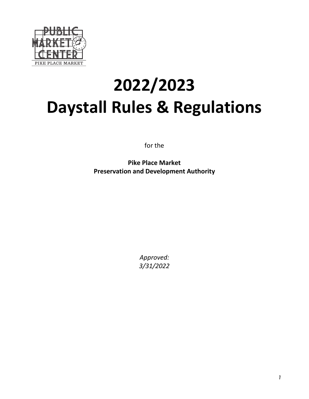

# **2022/2023 Daystall Rules & Regulations**

for the

**Pike Place Market Preservation and Development Authority**

> *Approved: 3/31/2022*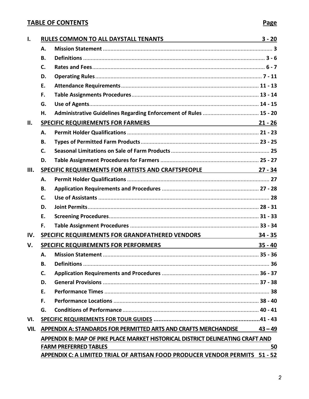## **TABLE OF CONTENTS Page**

| Ι.   | RULES COMMON TO ALL DAYSTALL TENANTS NULLES COMMON TO ALL DAYSTALL TENANTS                                    |                                                                                | $3 - 20$  |
|------|---------------------------------------------------------------------------------------------------------------|--------------------------------------------------------------------------------|-----------|
|      | Α.                                                                                                            |                                                                                |           |
|      | <b>B.</b>                                                                                                     |                                                                                |           |
|      | C.                                                                                                            |                                                                                |           |
|      | D.                                                                                                            |                                                                                |           |
|      | E.                                                                                                            |                                                                                |           |
|      | F.                                                                                                            |                                                                                |           |
|      | G.                                                                                                            |                                                                                |           |
|      | Η.                                                                                                            | Administrative Guidelines Regarding Enforcement of Rules  15 - 20              |           |
| П.   | <b>SPECIFIC REQUIREMENTS FOR FARMERS</b>                                                                      |                                                                                |           |
|      | А.                                                                                                            |                                                                                |           |
|      | В.                                                                                                            |                                                                                |           |
|      | C.                                                                                                            |                                                                                |           |
|      | D.                                                                                                            |                                                                                |           |
| III. |                                                                                                               | SPECIFIC REQUIREMENTS FOR ARTISTS AND CRAFTSPEOPLE 27 - 34                     |           |
|      | А.                                                                                                            |                                                                                |           |
|      | В.                                                                                                            |                                                                                |           |
|      | $\mathsf{C}$ .                                                                                                |                                                                                |           |
|      | D.                                                                                                            |                                                                                |           |
|      | Ε.                                                                                                            |                                                                                |           |
|      | F.                                                                                                            |                                                                                |           |
| IV.  |                                                                                                               | SPECIFIC REQUIREMENTS FOR GRANDFATHERED VENDORS 34 - 35                        |           |
| V.   | SPECIFIC REQUIREMENTS FOR PERFORMERS<br><u> 1980 - Johann Barn, mars an t-Amerikaansk ferske</u><br>$35 - 40$ |                                                                                |           |
|      | Α.                                                                                                            |                                                                                |           |
|      | <b>B.</b>                                                                                                     |                                                                                |           |
|      | C.                                                                                                            |                                                                                |           |
|      | D.                                                                                                            |                                                                                |           |
|      | Ε.                                                                                                            |                                                                                |           |
|      | F.                                                                                                            |                                                                                |           |
|      | G.                                                                                                            |                                                                                |           |
| VI.  |                                                                                                               |                                                                                |           |
| VII. |                                                                                                               | APPENDIX A: STANDARDS FOR PERMITTED ARTS AND CRAFTS MERCHANDISE                | $43 - 49$ |
|      |                                                                                                               | APPENDIX B: MAP OF PIKE PLACE MARKET HISTORICAL DISTRICT DELINEATING CRAFT AND |           |
|      |                                                                                                               | <b>FARM PREFERRED TABLES</b>                                                   | 50        |
|      |                                                                                                               | APPENDIX C: A LIMITED TRIAL OF ARTISAN FOOD PRODUCER VENDOR PERMITS 51 - 52    |           |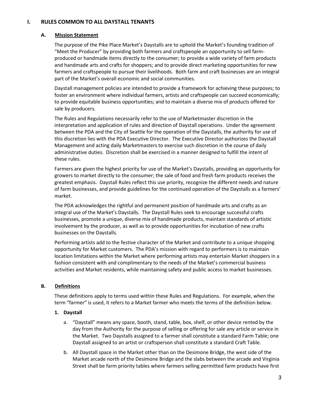## **I. RULES COMMON TO ALL DAYSTALL TENANTS**

## **A. Mission Statement**

The purpose of the Pike Place Market's Daystalls are to uphold the Market's founding tradition of "Meet the Producer" by providing both farmers and craftspeople an opportunity to sell farmproduced or handmade items directly to the consumer; to provide a wide variety of farm products and handmade arts and crafts for shoppers; and to provide direct marketing opportunities for new farmers and craftspeople to pursue their livelihoods. Both farm and craft businesses are an integral part of the Market's overall economic and social communities.

Daystall management policies are intended to provide a framework for achieving these purposes; to foster an environment where individual farmers, artists and craftspeople can succeed economically; to provide equitable business opportunities; and to maintain a diverse mix of products offered for sale by producers.

The Rules and Regulations necessarily refer to the use of Marketmaster discretion in the interpretation and application of rules and direction of Daystall operations. Under the agreement between the PDA and the City of Seattle for the operation of the Daystalls, the authority for use of this discretion lies with the PDA Executive Director. The Executive Director authorizes the Daystall Management and acting daily Marketmasters to exercise such discretion in the course of daily administrative duties. Discretion shall be exercised in a manner designed to fulfill the intent of these rules.

Farmers are given the highest priority for use of the Market's Daystalls, providing an opportunity for growers to market directly to the consumer; the sale of food and fresh farm products receives the greatest emphasis. Daystall Rules reflect this use priority, recognize the different needs and nature of farm businesses, and provide guidelines for the continued operation of the Daystalls as a farmers' market.

The PDA acknowledges the rightful and permanent position of handmade arts and crafts as an integral use of the Market's Daystalls. The Daystall Rules seek to encourage successful crafts businesses, promote a unique, diverse mix of handmade products, maintain standards of artistic involvement by the producer, as well as to provide opportunities for incubation of new crafts businesses on the Daystalls.

Performing artists add to the festive character of the Market and contribute to a unique shopping opportunity for Market customers. The PDA's mission with regard to performers is to maintain location limitations within the Market where performing artists may entertain Market shoppers in a fashion consistent with and complimentary to the needs of the Market's commercial business activities and Market residents, while maintaining safety and public access to market businesses.

## **B. Definitions**

These definitions apply to terms used within these Rules and Regulations. For example, when the term "farmer" is used, it refers to a Market farmer who meets the terms of the definition below.

## **1. Daystall**

- a. "Daystall" means any space, booth, stand, table, box, shelf, or other device rented by the day from the Authority for the purpose of selling or offering for sale any article or service in the Market. Two Daystalls assigned to a farmer shall constitute a standard Farm Table; one Daystall assigned to an artist or craftsperson shall constitute a standard Craft Table.
- b. All Daystall space in the Market other than on the Desimone Bridge, the west side of the Market arcade north of the Desimone Bridge and the slabs between the arcade and Virginia Street shall be farm priority tables where farmers selling permitted farm products have first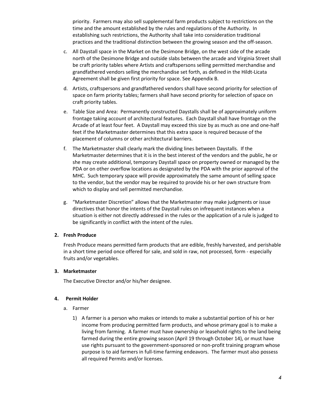priority. Farmers may also sell supplemental farm products subject to restrictions on the time and the amount established by the rules and regulations of the Authority. In establishing such restrictions, the Authority shall take into consideration traditional practices and the traditional distinction between the growing season and the off-season.

- c. All Daystall space in the Market on the Desimone Bridge, on the west side of the arcade north of the Desimone Bridge and outside slabs between the arcade and Virginia Street shall be craft priority tables where Artists and craftspersons selling permitted merchandise and grandfathered vendors selling the merchandise set forth, as defined in the Hildt-Licata Agreement shall be given first priority for space. See Appendix B.
- d. Artists, craftspersons and grandfathered vendors shall have second priority for selection of space on farm priority tables; farmers shall have second priority for selection of space on craft priority tables.
- e. Table Size and Area: Permanently constructed Daystalls shall be of approximately uniform frontage taking account of architectural features. Each Daystall shall have frontage on the Arcade of at least four feet. A Daystall may exceed this size by as much as one and one-half feet if the Marketmaster determines that this extra space is required because of the placement of columns or other architectural barriers.
- f. The Marketmaster shall clearly mark the dividing lines between Daystalls. If the Marketmaster determines that it is in the best interest of the vendors and the public, he or she may create additional, temporary Daystall space on property owned or managed by the PDA or on other overflow locations as designated by the PDA with the prior approval of the MHC. Such temporary space will provide approximately the same amount of selling space to the vendor, but the vendor may be required to provide his or her own structure from which to display and sell permitted merchandise.
- g. "Marketmaster Discretion" allows that the Marketmaster may make judgments or issue directives that honor the intents of the Daystall rules on infrequent instances when a situation is either not directly addressed in the rules or the application of a rule is judged to be significantly in conflict with the intent of the rules.

## **2. Fresh Produce**

Fresh Produce means permitted farm products that are edible, freshly harvested, and perishable in a short time period once offered for sale, and sold in raw, not processed, form - especially fruits and/or vegetables.

## **3. Marketmaster**

The Executive Director and/or his/her designee.

## **4. Permit Holder**

- a. Farmer
	- 1) A farmer is a person who makes or intends to make a substantial portion of his or her income from producing permitted farm products, and whose primary goal is to make a living from farming. A farmer must have ownership or leasehold rights to the land being farmed during the entire growing season (April 19 through October 14), or must have use rights pursuant to the government-sponsored or non-profit training program whose purpose is to aid farmers in full-time farming endeavors. The farmer must also possess all required Permits and/or licenses.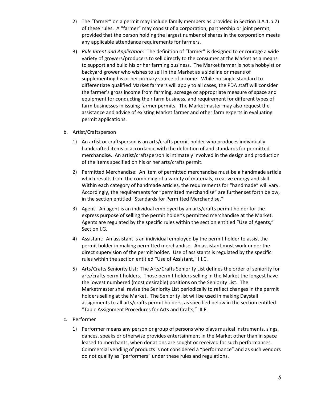- 2) The "farmer" on a permit may include family members as provided in Section II.A.1.b.7) of these rules. A "farmer" may consist of a corporation, partnership or joint permit, provided that the person holding the largest number of shares in the corporation meets any applicable attendance requirements for farmers.
- 3) *Rule Intent and Application*: The definition of "farmer" is designed to encourage a wide variety of growers/producers to sell directly to the consumer at the Market as a means to support and build his or her farming business. The Market farmer is not a hobbyist or backyard grower who wishes to sell in the Market as a sideline or means of supplementing his or her primary source of income. While no single standard to differentiate qualified Market farmers will apply to all cases, the PDA staff will consider the farmer's gross income from farming, acreage or appropriate measure of space and equipment for conducting their farm business, and requirement for different types of farm businesses in issuing farmer permits. The Marketmaster may also request the assistance and advice of existing Market farmer and other farm experts in evaluating permit applications.

## b. Artist/Craftsperson

- 1) An artist or craftsperson is an arts/crafts permit holder who produces individually handcrafted items in accordance with the definition of and standards for permitted merchandise. An artist/craftsperson is intimately involved in the design and production of the items specified on his or her arts/crafts permit.
- 2) Permitted Merchandise: An item of permitted merchandise must be a handmade article which results from the combining of a variety of materials, creative energy and skill. Within each category of handmade articles, the requirements for "handmade" will vary. Accordingly, the requirements for "permitted merchandise" are further set forth below, in the section entitled "Standards for Permitted Merchandise."
- 3) Agent: An agent is an individual employed by an arts/crafts permit holder for the express purpose of selling the permit holder's permitted merchandise at the Market. Agents are regulated by the specific rules within the section entitled "Use of Agents," Section I.G.
- 4) Assistant: An assistant is an individual employed by the permit holder to assist the permit holder in making permitted merchandise. An assistant must work under the direct supervision of the permit holder. Use of assistants is regulated by the specific rules within the section entitled "Use of Assistant," III.C.
- 5) Arts/Crafts Seniority List: The Arts/Crafts Seniority List defines the order of seniority for arts/crafts permit holders. Those permit holders selling in the Market the longest have the lowest numbered (most desirable) positions on the Seniority List. The Marketmaster shall revise the Seniority List periodically to reflect changes in the permit holders selling at the Market. The Seniority list will be used in making Daystall assignments to all arts/crafts permit holders, as specified below in the section entitled "Table Assignment Procedures for Arts and Crafts," III.F.

## c. Performer

1) Performer means any person or group of persons who plays musical instruments, sings, dances, speaks or otherwise provides entertainment in the Market other than in space leased to merchants, when donations are sought or received for such performances. Commercial vending of products is not considered a "performance" and as such vendors do not qualify as "performers" under these rules and regulations.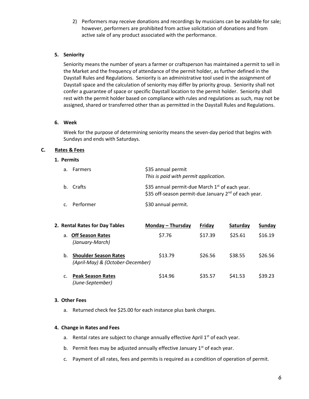2) Performers may receive donations and recordings by musicians can be available for sale; however, performers are prohibited from active solicitation of donations and from active sale of any product associated with the performance.

## **5. Seniority**

Seniority means the number of years a farmer or craftsperson has maintained a permit to sell in the Market and the frequency of attendance of the permit holder, as further defined in the Daystall Rules and Regulations. Seniority is an administrative tool used in the assignment of Daystall space and the calculation of seniority may differ by priority group. Seniority shall not confer a guarantee of space or specific Daystall location to the permit holder. Seniority shall rest with the permit holder based on compliance with rules and regulations as such, may not be assigned, shared or transferred other than as permitted in the Daystall Rules and Regulations.

#### **6. Week**

Week for the purpose of determining seniority means the seven-day period that begins with Sundays and ends with Saturdays.

#### **C. Rates & Fees**

#### **1. Permits**

| а. | <b>Farmers</b> | \$35 annual permit<br>This is paid with permit application.                                                                    |
|----|----------------|--------------------------------------------------------------------------------------------------------------------------------|
|    | b. Crafts      | \$35 annual permit-due March 1 <sup>st</sup> of each year.<br>\$35 off-season permit-due January 2 <sup>nd</sup> of each year. |
| c. | Performer      | \$30 annual permit.                                                                                                            |

| 2. Rental Rates for Day Tables |                                                                  | Monday – Thursday | Fridav  | Saturday | Sunday  |
|--------------------------------|------------------------------------------------------------------|-------------------|---------|----------|---------|
| a.                             | <b>Off Season Rates</b><br>(January-March)                       | \$7.76            | \$17.39 | \$25.61  | \$16.19 |
| b.                             | <b>Shoulder Season Rates</b><br>(April-May) & (October-December) | \$13.79           | \$26.56 | \$38.55  | \$26.56 |
| c.                             | <b>Peak Season Rates</b><br>(June-September)                     | \$14.96           | \$35.57 | S41.53   | \$39.23 |

#### **3. Other Fees**

a. Returned check fee \$25.00 for each instance plus bank charges.

#### **4. Change in Rates and Fees**

- a. Rental rates are subject to change annually effective April  $1<sup>st</sup>$  of each year.
- b. Permit fees may be adjusted annually effective January  $1<sup>st</sup>$  of each year.
- c. Payment of all rates, fees and permits is required as a condition of operation of permit.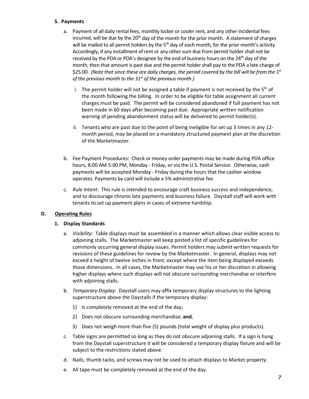## **5. Payments**

- a. Payment of all daily rental fees, monthly locker or cooler rent, and any other incidental fees incurred, will be due by the  $20<sup>th</sup>$  day of the month for the prior month. A statement of charges will be mailed to all permit holders by the 5<sup>th</sup> day of each month, for the prior month's activity. Accordingly, if any installment of rent or any other sum due from permit holder shall not be received by the PDA or PDA's designee by the end of business hours on the 24<sup>th</sup> day of the month, then that amount is past due and the permit holder shall pay to the PDA a late charge of \$25.00. *(Note that since these are daily charges, the period covered by the bill will be from the 1st of the previous month to the 31st of the previous month.)* 
	- i. The permit holder will not be assigned a table if payment is not received by the  $5<sup>th</sup>$  of the month following the billing. In order to be eligible for table assignment all current charges must be paid. The permit will be considered abandoned if full payment has not been made in 60 days after becoming past due. Appropriate written notification warning of pending abandonment status will be delivered to permit holder(s).
	- ii. Tenants who are past due to the point of being ineligible for set up 3 times in any 12 month period, may be placed on a mandatory structured payment plan at the discretion of the Marketmaster.
- b. Fee Payment Procedures: Check or money order payments may be made during PDA office hours, 8:00 AM-5:00 PM, Monday - Friday, or via the U.S. Postal Service. Otherwise, cash payments will be accepted Monday - Friday during the hours that the cashier window operates. Payments by card will include a 5% administrative fee.
- c. *Rule Intent*: This rule is intended to encourage craft business success and independence, and to discourage chronic late payments and business failure. Daystall staff will work with tenants to set up payment plans in cases of extreme hardship.

## **D. Operating Rules**

## **1. Display Standards**

- a. *Visibility*: Table displays must be assembled in a manner which allows clear visible access to adjoining stalls. The Marketmaster will keep posted a list of specific guidelines for commonly occurring general display issues. Permit holders may submit written requests for revisions of these guidelines for review by the Marketmaster. In general, displays may not exceed a height of twelve inches in front, except where the item being displayed exceeds those dimensions. In all cases, the Marketmaster may use his or her discretion in allowing higher displays where such displays will not obscure surrounding merchandise or interfere with adjoining stalls.
- b. *Temporary Display*: Daystall users may affix temporary display structures to the lighting superstructure above the Daystalls if the temporary display:
	- 1) Is completely removed at the end of the day;
	- 2) Does not obscure surrounding merchandise; **and**,
	- 3) Does not weigh more than five (5) pounds (total weight of display plus products).
- c. Table signs are permitted so long as they do not obscure adjoining stalls. If a sign is hung from the Daystall superstructure it will be considered a temporary display fixture and will be subject to the restrictions stated above.
- d. Nails, thumb tacks, and screws may not be used to attach displays to Market property.
- e. All tape must be completely removed at the end of the day.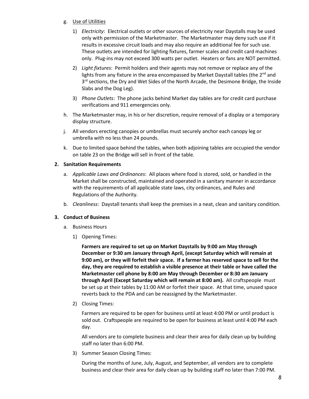## g. Use of Utilities

- 1) *Electricity*: Electrical outlets or other sources of electricity near Daystalls may be used only with permission of the Marketmaster. The Marketmaster may deny such use if it results in excessive circuit loads and may also require an additional fee for such use. These outlets are intended for lighting fixtures, farmer scales and credit card machines only. Plug-ins may not exceed 300 watts per outlet. Heaters or fans are NOT permitted.
- 2) *Light fixtures*: Permit holders and their agents may not remove or replace any of the lights from any fixture in the area encompassed by Market Daystall tables (the  $2^{nd}$  and  $3<sup>rd</sup>$  sections, the Dry and Wet Sides of the North Arcade, the Desimone Bridge, the Inside Slabs and the Dog Leg).
- 3) *Phone Outlets*: The phone jacks behind Market day tables are for credit card purchase verifications and 911 emergencies only.
- h. The Marketmaster may, in his or her discretion, require removal of a display or a temporary display structure.
- j. All vendors erecting canopies or umbrellas must securely anchor each canopy leg or umbrella with no less than 24 pounds.
- k. Due to limited space behind the tables, when both adjoining tables are occupied the vendor on table 23 on the Bridge will sell in front of the table.

## **2. Sanitation Requirements**

- a. *Applicable Laws and Ordinances*: All places where food is stored, sold, or handled in the Market shall be constructed, maintained and operated in a sanitary manner in accordance with the requirements of all applicable state laws, city ordinances, and Rules and Regulations of the Authority.
- b. *Cleanliness*: Daystall tenants shall keep the premises in a neat, clean and sanitary condition.

## **3. Conduct of Business**

- a. Business Hours
	- 1) Opening Times:

**Farmers are required to set up on Market Daystalls by 9:00 am May through December or 9:30 am January through April, (except Saturday which will remain at 9:00 am), or they will forfeit their space. If a farmer has reserved space to sell for the day, they are required to establish a visible presence at their table or have called the Marketmaster cell phone by 8:00 am May through December or 8:30 am January through April (Except Saturday which will remain at 8:00 am).** All craftspeople must be set up at their tables by 11:00 AM or forfeit their space. At that time, unused space reverts back to the PDA and can be reassigned by the Marketmaster.

2) Closing Times:

Farmers are required to be open for business until at least 4:00 PM or until product is sold out. Craftspeople are required to be open for business at least until 4:00 PM each day.

All vendors are to complete business and clear their area for daily clean up by building staff no later than 6:00 PM.

3) Summer Season Closing Times:

During the months of June, July, August, and September, all vendors are to complete business and clear their area for daily clean up by building staff no later than 7:00 PM.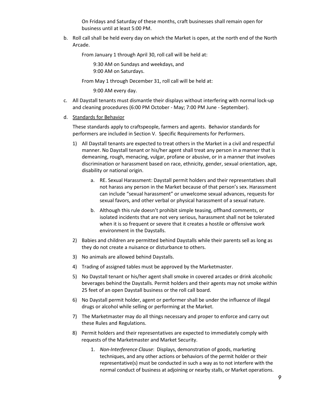On Fridays and Saturday of these months, craft businesses shall remain open for business until at least 5:00 PM.

b. Roll call shall be held every day on which the Market is open, at the north end of the North Arcade.

From January 1 through April 30, roll call will be held at:

 9:30 AM on Sundays and weekdays, and 9:00 AM on Saturdays.

From May 1 through December 31, roll call will be held at:

9:00 AM every day.

- c. All Daystall tenants must dismantle their displays without interfering with normal lock-up and cleaning procedures (6:00 PM October - May; 7:00 PM June - September).
- d. Standards for Behavior

These standards apply to craftspeople, farmers and agents. Behavior standards for performers are included in Section V. Specific Requirements for Performers.

- 1) All Daystall tenants are expected to treat others in the Market in a civil and respectful manner. No Daystall tenant or his/her agent shall treat any person in a manner that is demeaning, rough, menacing, vulgar, profane or abusive, or in a manner that involves discrimination or harassment based on race, ethnicity, gender, sexual orientation, age, disability or national origin.
	- a. RE. Sexual Harassment: Daystall permit holders and their representatives shall not harass any person in the Market because of that person's sex. Harassment can include "sexual harassment" or unwelcome sexual advances, requests for sexual favors, and other verbal or physical harassment of a sexual nature.
	- b. Although this rule doesn't prohibit simple teasing, offhand comments, or isolated incidents that are not very serious, harassment shall not be tolerated when it is so frequent or severe that it creates a hostile or offensive work environment in the Daystalls.
- 2) Babies and children are permitted behind Daystalls while their parents sell as long as they do not create a nuisance or disturbance to others.
- 3) No animals are allowed behind Daystalls.
- 4) Trading of assigned tables must be approved by the Marketmaster.
- 5) No Daystall tenant or his/her agent shall smoke in covered arcades or drink alcoholic beverages behind the Daystalls. Permit holders and their agents may not smoke within 25 feet of an open Daystall business or the roll call board.
- 6) No Daystall permit holder, agent or performer shall be under the influence of illegal drugs or alcohol while selling or performing at the Market.
- 7) The Marketmaster may do all things necessary and proper to enforce and carry out these Rules and Regulations.
- 8) Permit holders and their representatives are expected to immediately comply with requests of the Marketmaster and Market Security.
	- 1. *Non-Interference Clause*: Displays, demonstration of goods, marketing techniques, and any other actions or behaviors of the permit holder or their representative(s) must be conducted in such a way as to not interfere with the normal conduct of business at adjoining or nearby stalls, or Market operations.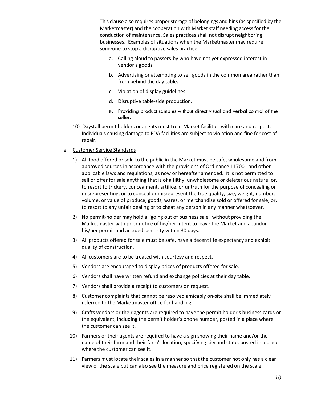This clause also requires proper storage of belongings and bins (as specified by the Marketmaster) and the cooperation with Market staff needing access for the conduction of maintenance. Sales practices shall not disrupt neighboring businesses. Examples of situations when the Marketmaster may require someone to stop a disruptive sales practice:

- a. Calling aloud to passers-by who have not yet expressed interest in vendor's goods.
- b. Advertising or attempting to sell goods in the common area rather than from behind the day table.
- c. Violation of display guidelines.
- d. Disruptive table-side production.
- e. Providing product samples without direct visual and verbal control of the seller.
- 10) Daystall permit holders or agents must treat Market facilities with care and respect. Individuals causing damage to PDA facilities are subject to violation and fine for cost of repair.
- e. Customer Service Standards
	- 1) All food offered or sold to the public in the Market must be safe, wholesome and from approved sources in accordance with the provisions of Ordinance 117001 and other applicable laws and regulations, as now or hereafter amended. It is not permitted to sell or offer for sale anything that is of a filthy, unwholesome or deleterious nature; or, to resort to trickery, concealment, artifice, or untruth for the purpose of concealing or misrepresenting, or to conceal or misrepresent the true quality, size, weight, number, volume, or value of produce, goods, wares, or merchandise sold or offered for sale; or, to resort to any unfair dealing or to cheat any person in any manner whatsoever.
	- 2) No permit-holder may hold a "going out of business sale" without providing the Marketmaster with prior notice of his/her intent to leave the Market and abandon his/her permit and accrued seniority within 30 days.
	- 3) All products offered for sale must be safe, have a decent life expectancy and exhibit quality of construction.
	- 4) All customers are to be treated with courtesy and respect.
	- 5) Vendors are encouraged to display prices of products offered for sale.
	- 6) Vendors shall have written refund and exchange policies at their day table.
	- 7) Vendors shall provide a receipt to customers on request.
	- 8) Customer complaints that cannot be resolved amicably on-site shall be immediately referred to the Marketmaster office for handling.
	- 9) Crafts vendors or their agents are required to have the permit holder's business cards or the equivalent, including the permit holder's phone number, posted in a place where the customer can see it.
	- 10) Farmers or their agents are required to have a sign showing their name and/or the name of their farm and their farm's location, specifying city and state, posted in a place where the customer can see it.
	- 11) Farmers must locate their scales in a manner so that the customer not only has a clear view of the scale but can also see the measure and price registered on the scale.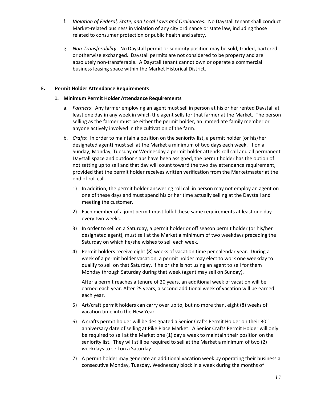- f. *Violation of Federal, State, and Local Laws and Ordinances:* No Daystall tenant shall conduct Market-related business in violation of any city ordinance or state law, including those related to consumer protection or public health and safety.
- g. *Non-Transferability*: No Daystall permit or seniority position may be sold, traded, bartered or otherwise exchanged. Daystall permits are not considered to be property and are absolutely non-transferable. A Daystall tenant cannot own or operate a commercial business leasing space within the Market Historical District.

## **E. Permit Holder Attendance Requirements**

## **1. Minimum Permit Holder Attendance Requirements**

- a. *Farmers*: Any farmer employing an agent must sell in person at his or her rented Daystall at least one day in any week in which the agent sells for that farmer at the Market. The person selling as the farmer must be either the permit holder, an immediate family member or anyone actively involved in the cultivation of the farm.
- b. *Crafts*: In order to maintain a position on the seniority list, a permit holder (or his/her designated agent) must sell at the Market a minimum of two days each week. If on a Sunday, Monday, Tuesday or Wednesday a permit holder attends roll call and all permanent Daystall space and outdoor slabs have been assigned, the permit holder has the option of not setting up to sell and that day will count toward the two day attendance requirement, provided that the permit holder receives written verification from the Marketmaster at the end of roll call.
	- 1) In addition, the permit holder answering roll call in person may not employ an agent on one of these days and must spend his or her time actually selling at the Daystall and meeting the customer.
	- 2) Each member of a joint permit must fulfill these same requirements at least one day every two weeks.
	- 3) In order to sell on a Saturday, a permit holder or off season permit holder (or his/her designated agent), must sell at the Market a minimum of two weekdays preceding the Saturday on which he/she wishes to sell each week.
	- 4) Permit holders receive eight (8) weeks of vacation time per calendar year. During a week of a permit holder vacation, a permit holder may elect to work one weekday to qualify to sell on that Saturday, if he or she is not using an agent to sell for them Monday through Saturday during that week (agent may sell on Sunday).

After a permit reaches a tenure of 20 years, an additional week of vacation will be earned each year. After 25 years, a second additional week of vacation will be earned each year.

- 5) Art/craft permit holders can carry over up to, but no more than, eight (8) weeks of vacation time into the New Year.
- 6) A crafts permit holder will be designated a Senior Crafts Permit Holder on their  $30<sup>th</sup>$ anniversary date of selling at Pike Place Market. A Senior Crafts Permit Holder will only be required to sell at the Market one (1) day a week to maintain their position on the seniority list. They will still be required to sell at the Market a minimum of two (2) weekdays to sell on a Saturday.
- 7) A permit holder may generate an additional vacation week by operating their business a consecutive Monday, Tuesday, Wednesday block in a week during the months of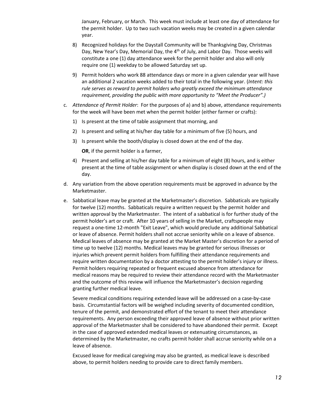January, February, or March. This week must include at least one day of attendance for the permit holder. Up to two such vacation weeks may be created in a given calendar year.

- 8) Recognized holidays for the Daystall Community will be Thanksgiving Day, Christmas Day, New Year's Day, Memorial Day, the 4<sup>th</sup> of July, and Labor Day. Those weeks will constitute a one (1) day attendance week for the permit holder and also will only require one (1) weekday to be allowed Saturday set up.
- 9) Permit holders who work 88 attendance days or more in a given calendar year will have an additional 2 vacation weeks added to their total in the following year. (*Intent: this rule serves as reward to permit holders who greatly exceed the minimum attendance requirement, providing the public with more opportunity to "Meet the Producer".)*
- c. *Attendance of Permit Holder*: For the purposes of a) and b) above, attendance requirements for the week will have been met when the permit holder (either farmer or crafts):
	- 1) Is present at the time of table assignment that morning, and
	- 2) Is present and selling at his/her day table for a minimum of five (5) hours, and
	- 3) Is present while the booth/display is closed down at the end of the day.

**OR**, if the permit holder is a farmer,

- 4) Present and selling at his/her day table for a minimum of eight (8) hours, and is either present at the time of table assignment or when display is closed down at the end of the day.
- d. Any variation from the above operation requirements must be approved in advance by the Marketmaster.
- e. Sabbatical leave may be granted at the Marketmaster's discretion. Sabbaticals are typically for twelve (12) months. Sabbaticals require a written request by the permit holder and written approval by the Marketmaster. The intent of a sabbatical is for further study of the permit holder's art or craft. After 10 years of selling in the Market, craftspeople may request a one-time 12-month "Exit Leave", which would preclude any additional Sabbatical or leave of absence. Permit holders shall not accrue seniority while on a leave of absence. Medical leaves of absence may be granted at the Market Master's discretion for a period of time up to twelve (12) months. Medical leaves may be granted for serious illnesses or injuries which prevent permit holders from fulfilling their attendance requirements and require written documentation by a doctor attesting to the permit holder's injury or illness. Permit holders requiring repeated or frequent excused absence from attendance for medical reasons may be required to review their attendance record with the Marketmaster and the outcome of this review will influence the Marketmaster's decision regarding granting further medical leave.

Severe medical conditions requiring extended leave will be addressed on a case-by-case basis. Circumstantial factors will be weighed including severity of documented condition, tenure of the permit, and demonstrated effort of the tenant to meet their attendance requirements. Any person exceeding their approved leave of absence without prior written approval of the Marketmaster shall be considered to have abandoned their permit. Except in the case of approved extended medical leaves or extenuating circumstances, as determined by the Marketmaster, no crafts permit holder shall accrue seniority while on a leave of absence.

Excused leave for medical caregiving may also be granted, as medical leave is described above, to permit holders needing to provide care to direct family members.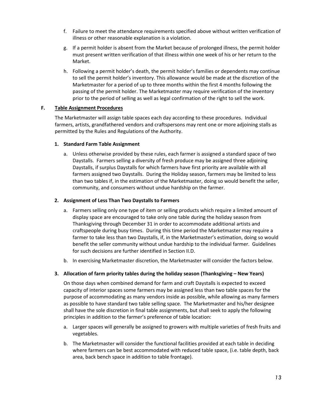- f. Failure to meet the attendance requirements specified above without written verification of illness or other reasonable explanation is a violation.
- g. If a permit holder is absent from the Market because of prolonged illness, the permit holder must present written verification of that illness within one week of his or her return to the Market.
- h. Following a permit holder's death, the permit holder's families or dependents may continue to sell the permit holder's inventory. This allowance would be made at the discretion of the Marketmaster for a period of up to three months within the first 4 months following the passing of the permit holder. The Marketmaster may require verification of the inventory prior to the period of selling as well as legal confirmation of the right to sell the work.

## **F. Table Assignment Procedures**

The Marketmaster will assign table spaces each day according to these procedures. Individual farmers, artists, grandfathered vendors and craftspersons may rent one or more adjoining stalls as permitted by the Rules and Regulations of the Authority.

## **1. Standard Farm Table Assignment**

a. Unless otherwise provided by these rules, each farmer is assigned a standard space of two Daystalls. Farmers selling a diversity of fresh produce may be assigned three adjoining Daystalls, if surplus Daystalls for which farmers have first priority are available with all farmers assigned two Daystalls. During the Holiday season, farmers may be limited to less than two tables if, in the estimation of the Marketmaster, doing so would benefit the seller, community, and consumers without undue hardship on the farmer.

## **2. Assignment of Less Than Two Daystalls to Farmers**

- a. Farmers selling only one type of item or selling products which require a limited amount of display space are encouraged to take only one table during the holiday season from Thanksgiving through December 31 in order to accommodate additional artists and craftspeople during busy times. During this time period the Marketmaster may require a farmer to take less than two Daystalls, if, in the Marketmaster's estimation, doing so would benefit the seller community without undue hardship to the individual farmer. Guidelines for such decisions are further identified in Section II.D.
- b. In exercising Marketmaster discretion, the Marketmaster will consider the factors below.

## **3. Allocation of farm priority tables during the holiday season (Thanksgiving – New Years)**

On those days when combined demand for farm and craft Daystalls is expected to exceed capacity of interior spaces some farmers may be assigned less than two table spaces for the purpose of accommodating as many vendors inside as possible, while allowing as many farmers as possible to have standard two table selling space. The Marketmaster and his/her designee shall have the sole discretion in final table assignments, but shall seek to apply the following principles in addition to the farmer's preference of table location:

- a. Larger spaces will generally be assigned to growers with multiple varieties of fresh fruits and vegetables.
- b. The Marketmaster will consider the functional facilities provided at each table in deciding where farmers can be best accommodated with reduced table space, (i.e. table depth, back area, back bench space in addition to table frontage).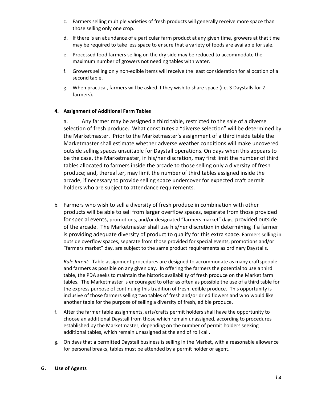- c. Farmers selling multiple varieties of fresh products will generally receive more space than those selling only one crop.
- d. If there is an abundance of a particular farm product at any given time, growers at that time may be required to take less space to ensure that a variety of foods are available for sale.
- e. Processed food farmers selling on the dry side may be reduced to accommodate the maximum number of growers not needing tables with water.
- f. Growers selling only non-edible items will receive the least consideration for allocation of a second table.
- g. When practical, farmers will be asked if they wish to share space (i.e. 3 Daystalls for 2 farmers).

## **4. Assignment of Additional Farm Tables**

a. Any farmer may be assigned a third table, restricted to the sale of a diverse selection of fresh produce. What constitutes a "diverse selection" will be determined by the Marketmaster. Prior to the Marketmaster's assignment of a third inside table the Marketmaster shall estimate whether adverse weather conditions will make uncovered outside selling spaces unsuitable for Daystall operations. On days when this appears to be the case, the Marketmaster, in his/her discretion, may first limit the number of third tables allocated to farmers inside the arcade to those selling only a diversity of fresh produce; and, thereafter, may limit the number of third tables assigned inside the arcade, if necessary to provide selling space undercover for expected craft permit holders who are subject to attendance requirements.

b. Farmers who wish to sell a diversity of fresh produce in combination with other products will be able to sell from larger overflow spaces, separate from those provided for special events, promotions, and/or designated "farmers market" days, provided outside of the arcade. The Marketmaster shall use his/her discretion in determining if a farmer is providing adequate diversity of product to qualify for this extra space. Farmers selling in outside overflow spaces, separate from those provided for special events, promotions and/or "farmers market" day, are subject to the same product requirements as ordinary Daystalls.

*Rule Intent*: Table assignment procedures are designed to accommodate as many craftspeople and farmers as possible on any given day. In offering the farmers the potential to use a third table, the PDA seeks to maintain the historic availability of fresh produce on the Market farm tables. The Marketmaster is encouraged to offer as often as possible the use of a third table for the express purpose of continuing this tradition of fresh, edible produce. This opportunity is inclusive of those farmers selling two tables of fresh and/or dried flowers and who would like another table for the purpose of selling a diversity of fresh, edible produce.

- f. After the farmer table assignments, arts/crafts permit holders shall have the opportunity to choose an additional Daystall from those which remain unassigned, according to procedures established by the Marketmaster, depending on the number of permit holders seeking additional tables, which remain unassigned at the end of roll call.
- g. On days that a permitted Daystall business is selling in the Market, with a reasonable allowance for personal breaks, tables must be attended by a permit holder or agent.

## **G. Use of Agents**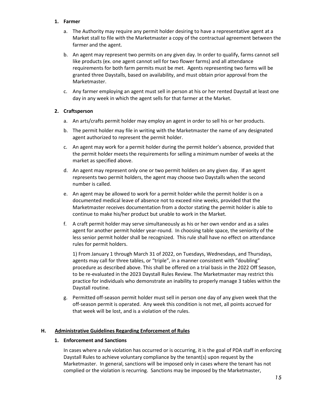## **1. Farmer**

- a. The Authority may require any permit holder desiring to have a representative agent at a Market stall to file with the Marketmaster a copy of the contractual agreement between the farmer and the agent.
- b. An agent may represent two permits on any given day. In order to qualify, farms cannot sell like products (ex. one agent cannot sell for two flower farms) and all attendance requirements for both farm permits must be met. Agents representing two farms will be granted three Daystalls, based on availability, and must obtain prior approval from the Marketmaster.
- c. Any farmer employing an agent must sell in person at his or her rented Daystall at least one day in any week in which the agent sells for that farmer at the Market.

## **2. Craftsperson**

- a. An arts/crafts permit holder may employ an agent in order to sell his or her products.
- b. The permit holder may file in writing with the Marketmaster the name of any designated agent authorized to represent the permit holder.
- c. An agent may work for a permit holder during the permit holder's absence, provided that the permit holder meets the requirements for selling a minimum number of weeks at the market as specified above.
- d. An agent may represent only one or two permit holders on any given day. If an agent represents two permit holders, the agent may choose two Daystalls when the second number is called.
- e. An agent may be allowed to work for a permit holder while the permit holder is on a documented medical leave of absence not to exceed nine weeks, provided that the Marketmaster receives documentation from a doctor stating the permit holder is able to continue to make his/her product but unable to work in the Market.
- f. A craft permit holder may serve simultaneously as his or her own vendor and as a sales agent for another permit holder year-round. In choosing table space, the seniority of the less senior permit holder shall be recognized. This rule shall have no effect on attendance rules for permit holders.

1) From January 1 through March 31 of 2022, on Tuesdays, Wednesdays, and Thursdays, agents may call for three tables, or "triple", in a manner consistent with "doubling" procedure as described above. This shall be offered on a trial basis in the 2022 Off Season, to be re-evaluated in the 2023 Daystall Rules Review. The Marketmaster may restrict this practice for individuals who demonstrate an inability to properly manage 3 tables within the Daystall routine.

g. Permitted off-season permit holder must sell in person one day of any given week that the off-season permit is operated. Any week this condition is not met, all points accrued for that week will be lost, and is a violation of the rules.

## **H. Administrative Guidelines Regarding Enforcement of Rules**

## **1. Enforcement and Sanctions**

In cases where a rule violation has occurred or is occurring, it is the goal of PDA staff in enforcing Daystall Rules to achieve voluntary compliance by the tenant(s) upon request by the Marketmaster. In general, sanctions will be imposed only in cases where the tenant has not complied or the violation is recurring. Sanctions may be imposed by the Marketmaster,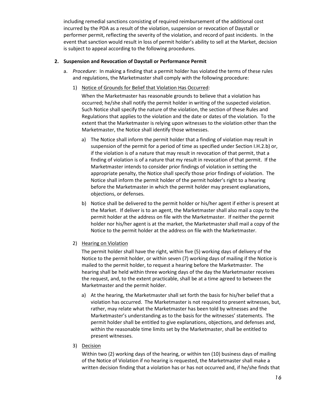including remedial sanctions consisting of required reimbursement of the additional cost incurred by the PDA as a result of the violation, suspension or revocation of Daystall or performer permit, reflecting the severity of the violation, and record of past incidents. In the event that sanction would result in loss of permit holder's ability to sell at the Market, decision is subject to appeal according to the following procedures.

## **2. Suspension and Revocation of Daystall or Performance Permit**

- a. *Procedure*: In making a finding that a permit holder has violated the terms of these rules and regulations, the Marketmaster shall comply with the following procedure:
	- 1) Notice of Grounds for Belief that Violation Has Occurred:

When the Marketmaster has reasonable grounds to believe that a violation has occurred; he/she shall notify the permit holder in writing of the suspected violation. Such Notice shall specify the nature of the violation, the section of these Rules and Regulations that applies to the violation and the date or dates of the violation. To the extent that the Marketmaster is relying upon witnesses to the violation other than the Marketmaster, the Notice shall identify those witnesses.

- a) The Notice shall inform the permit holder that a finding of violation may result in suspension of the permit for a period of time as specified under Section I.H.2.b) or, if the violation is of a nature that may result in revocation of that permit, that a finding of violation is of a nature that my result in revocation of that permit. If the Marketmaster intends to consider prior findings of violation in setting the appropriate penalty, the Notice shall specify those prior findings of violation. The Notice shall inform the permit holder of the permit holder's right to a hearing before the Marketmaster in which the permit holder may present explanations, objections, or defenses.
- b) Notice shall be delivered to the permit holder or his/her agent if either is present at the Market. If deliver is to an agent, the Marketmaster shall also mail a copy to the permit holder at the address on file with the Marketmaster. If neither the permit holder nor his/her agent is at the market, the Marketmaster shall mail a copy of the Notice to the permit holder at the address on file with the Marketmaster.
- 2) Hearing on Violation

The permit holder shall have the right, within five (5) working days of delivery of the Notice to the permit holder, or within seven (7) working days of mailing if the Notice is mailed to the permit holder, to request a hearing before the Marketmaster. The hearing shall be held within three working days of the day the Marketmaster receives the request, and, to the extent practicable, shall be at a time agreed to between the Marketmaster and the permit holder.

- a) At the hearing, the Marketmaster shall set forth the basis for his/her belief that a violation has occurred. The Marketmaster is not required to present witnesses, but, rather, may relate what the Marketmaster has been told by witnesses and the Marketmaster's understanding as to the basis for the witnesses' statements. The permit holder shall be entitled to give explanations, objections, and defenses and, within the reasonable time limits set by the Marketmaster, shall be entitled to present witnesses.
- 3) Decision

Within two (2) working days of the hearing, or within ten (10) business days of mailing of the Notice of Violation if no hearing is requested, the Marketmaster shall make a written decision finding that a violation has or has not occurred and, if he/she finds that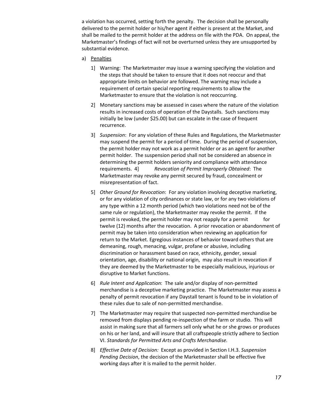a violation has occurred, setting forth the penalty. The decision shall be personally delivered to the permit holder or his/her agent if either is present at the Market, and shall be mailed to the permit holder at the address on file with the PDA. On appeal, the Marketmaster's findings of fact will not be overturned unless they are unsupported by substantial evidence.

- a) Penalties
	- 1] Warning: The Marketmaster may issue a warning specifying the violation and the steps that should be taken to ensure that it does not reoccur and that appropriate limits on behavior are followed. The warning may include a requirement of certain special reporting requirements to allow the Marketmaster to ensure that the violation is not reoccurring.
	- 2] Monetary sanctions may be assessed in cases where the nature of the violation results in increased costs of operation of the Daystalls. Such sanctions may initially be low (under \$25.00) but can escalate in the case of frequent recurrence.
	- 3] *Suspension*: For any violation of these Rules and Regulations, the Marketmaster may suspend the permit for a period of time. During the period of suspension, the permit holder may not work as a permit holder or as an agent for another permit holder. The suspension period shall not be considered an absence in determining the permit holders seniority and compliance with attendance requirements. 4] *Revocation of Permit Improperly Obtained*: The Marketmaster may revoke any permit secured by fraud, concealment or misrepresentation of fact.
	- 5] *Other Ground for Revocation*: For any violation involving deceptive marketing, or for any violation of city ordinances or state law, or for any two violations of any type within a 12 month period (which two violations need not be of the same rule or regulation), the Marketmaster may revoke the permit. If the permit is revoked, the permit holder may not reapply for a permit twelve (12) months after the revocation. A prior revocation or abandonment of permit may be taken into consideration when reviewing an application for return to the Market. Egregious instances of behavior toward others that are demeaning, rough, menacing, vulgar, profane or abusive, including discrimination or harassment based on race, ethnicity, gender, sexual orientation, age, disability or national origin, may also result in revocation if they are deemed by the Marketmaster to be especially malicious, injurious or disruptive to Market functions.
	- 6] *Rule Intent and Application*: The sale and/or display of non-permitted merchandise is a deceptive marketing practice. The Marketmaster may assess a penalty of permit revocation if any Daystall tenant is found to be in violation of these rules due to sale of non-permitted merchandise.
	- 7] The Marketmaster may require that suspected non-permitted merchandise be removed from displays pending re-inspection of the farm or studio. This will assist in making sure that all farmers sell only what he or she grows or produces on his or her land, and will insure that all craftspeople strictly adhere to Section VI. *Standards for Permitted Arts and Crafts Merchandise.*
	- 8] *Effective Date of Decision:* Except as provided in Section I.H.3. *Suspension Pending Decision*, the decision of the Marketmaster shall be effective five working days after it is mailed to the permit holder.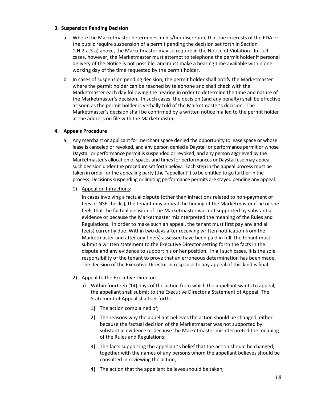## **3. Suspension Pending Decision**

- a. Where the Marketmaster determines, in his/her discretion, that the interests of the PDA or the public require suspension of a permit pending the decision set forth in Section 1.H.2.a.3.a) above, the Marketmaster may so require in the Notice of Violation. In such cases, however, the Marketmaster must attempt to telephone the permit holder if personal delivery of the Notice is not possible, and must make a hearing time available within one working day of the time requested by the permit holder.
- b. In cases of suspension pending decision, the permit holder shall notify the Marketmaster where the permit holder can be reached by telephone and shall check with the Marketmaster each day following the hearing in order to determine the time and nature of the Marketmaster's decision. In such cases, the decision (and any penalty) shall be effective as soon as the permit holder is verbally told of the Marketmaster's decision. The Marketmaster's decision shall be confirmed by a written notice mailed to the permit holder at the address on file with the Marketmaster.

## **4. Appeals Procedure**

- a. Any merchant or applicant for merchant space denied the opportunity to lease space or whose lease is canceled or revoked, and any person denied a Daystall or performance permit or whose Daystall or performance permit is suspended or revoked, and any person aggrieved by the Marketmaster's allocation of spaces and times for performances or Daystall use may appeal such decision under the procedure set forth below. Each step in the appeal process must be taken in order for the appealing party (the "appellant") to be entitled to go further in the process. Decisions suspending or limiting performance permits are stayed pending any appeal.
	- 1) Appeal on Infractions:

In cases involving a factual dispute (other than infractions related to non-payment of fees or NSF checks), the tenant may appeal the finding of the Marketmaster if he or she feels that the factual decision of the Marketmaster was not supported by substantial evidence or because the Marketmaster misinterpreted the meaning of the Rules and Regulations. In order to make such an appeal, the tenant must first pay any and all fee(s) currently due. Within two days after receiving written notification from the Marketmaster and after any fine(s) assessed have been paid in full, the tenant must submit a written statement to the Executive Director setting forth the facts in the dispute and any evidence to support his or her position. In all such cases, it is the sole responsibility of the tenant to prove that an erroneous determination has been made. The decision of the Executive Director in response to any appeal of this kind is final.

- 2) Appeal to the Executive Director:
	- a) Within fourteen (14) days of the action from which the appellant wants to appeal, the appellant shall submit to the Executive Director a Statement of Appeal. The Statement of Appeal shall set forth:
		- 1] The action complained of;
		- 2] The reasons why the appellant believes the action should be changed, either because the factual decision of the Marketmaster was not supported by substantial evidence or because the Marketmaster misinterpreted the meaning of the Rules and Regulations;
		- 3] The facts supporting the appellant's belief that the action should be changed, together with the names of any persons whom the appellant believes should be consulted in reviewing the action;
		- 4] The action that the appellant believes should be taken;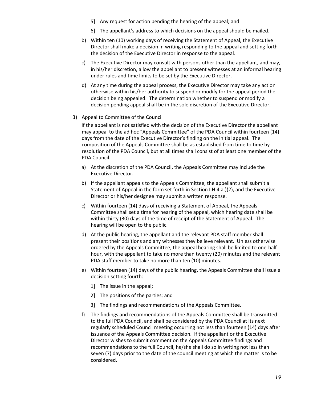- 5] Any request for action pending the hearing of the appeal; and
- 6] The appellant's address to which decisions on the appeal should be mailed.
- b) Within ten (10) working days of receiving the Statement of Appeal, the Executive Director shall make a decision in writing responding to the appeal and setting forth the decision of the Executive Director in response to the appeal.
- c) The Executive Director may consult with persons other than the appellant, and may, in his/her discretion, allow the appellant to present witnesses at an informal hearing under rules and time limits to be set by the Executive Director.
- d) At any time during the appeal process, the Executive Director may take any action otherwise within his/her authority to suspend or modify for the appeal period the decision being appealed. The determination whether to suspend or modify a decision pending appeal shall be in the sole discretion of the Executive Director.

#### 3) Appeal to Committee of the Council

If the appellant is not satisfied with the decision of the Executive Director the appellant may appeal to the ad hoc "Appeals Committee" of the PDA Council within fourteen (14) days from the date of the Executive Director's finding on the initial appeal. The composition of the Appeals Committee shall be as established from time to time by resolution of the PDA Council, but at all times shall consist of at least one member of the PDA Council.

- a) At the discretion of the PDA Council, the Appeals Committee may include the Executive Director.
- b) If the appellant appeals to the Appeals Committee, the appellant shall submit a Statement of Appeal in the form set forth in Section I.H.4.a.)(2), and the Executive Director or his/her designee may submit a written response.
- c) Within fourteen (14) days of receiving a Statement of Appeal, the Appeals Committee shall set a time for hearing of the appeal, which hearing date shall be within thirty (30) days of the time of receipt of the Statement of Appeal. The hearing will be open to the public.
- d) At the public hearing, the appellant and the relevant PDA staff member shall present their positions and any witnesses they believe relevant. Unless otherwise ordered by the Appeals Committee, the appeal hearing shall be limited to one-half hour, with the appellant to take no more than twenty (20) minutes and the relevant PDA staff member to take no more than ten (10) minutes.
- e) Within fourteen (14) days of the public hearing, the Appeals Committee shall issue a decision setting fourth:
	- 1] The issue in the appeal;
	- 2] The positions of the parties; and
	- 3] The findings and recommendations of the Appeals Committee.
- f) The findings and recommendations of the Appeals Committee shall be transmitted to the full PDA Council, and shall be considered by the PDA Council at its next regularly scheduled Council meeting occurring not less than fourteen (14) days after issuance of the Appeals Committee decision. If the appellant or the Executive Director wishes to submit comment on the Appeals Committee findings and recommendations to the full Council, he/she shall do so in writing not less than seven (7) days prior to the date of the council meeting at which the matter is to be considered.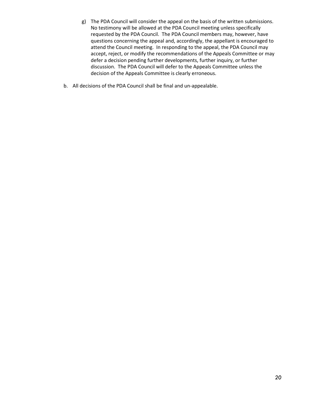- g) The PDA Council will consider the appeal on the basis of the written submissions. No testimony will be allowed at the PDA Council meeting unless specifically requested by the PDA Council. The PDA Council members may, however, have questions concerning the appeal and, accordingly, the appellant is encouraged to attend the Council meeting. In responding to the appeal, the PDA Council may accept, reject, or modify the recommendations of the Appeals Committee or may defer a decision pending further developments, further inquiry, or further discussion. The PDA Council will defer to the Appeals Committee unless the decision of the Appeals Committee is clearly erroneous.
- b. All decisions of the PDA Council shall be final and un-appealable.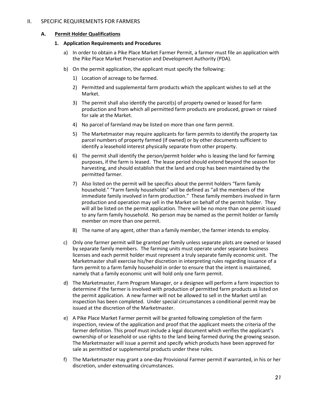## **A. Permit Holder Qualifications**

#### **1. Application Requirements and Procedures**

- a) In order to obtain a Pike Place Market Farmer Permit, a farmer must file an application with the Pike Place Market Preservation and Development Authority (PDA).
- b) On the permit application, the applicant must specify the following:
	- 1) Location of acreage to be farmed.
	- 2) Permitted and supplemental farm products which the applicant wishes to sell at the Market.
	- 3) The permit shall also identify the parcel(s) of property owned or leased for farm production and from which all permitted farm products are produced, grown or raised for sale at the Market.
	- 4) No parcel of farmland may be listed on more than one farm permit.
	- 5) The Marketmaster may require applicants for farm permits to identify the property tax parcel numbers of property farmed (if owned) or by other documents sufficient to identify a leasehold interest physically separate from other property.
	- 6) The permit shall identify the person/permit holder who is leasing the land for farming purposes, if the farm is leased. The lease period should extend beyond the season for harvesting, and should establish that the land and crop has been maintained by the permitted farmer.
	- 7) Also listed on the permit will be specifics about the permit holders "farm family household." "Farm family households" will be defined as "all the members of the immediate family involved in farm production." These family members involved in farm production and operation may sell in the Market on behalf of the permit holder. They will all be listed on the permit application. There will be no more than one permit issued to any farm family household. No person may be named as the permit holder or family member on more than one permit.
	- 8) The name of any agent, other than a family member, the farmer intends to employ.
- c) Only one farmer permit will be granted per family unless separate plots are owned or leased by separate family members. The farming units must operate under separate business licenses and each permit holder must represent a truly separate family economic unit. The Marketmaster shall exercise his/her discretion in interpreting rules regarding issuance of a farm permit to a farm family household in order to ensure that the intent is maintained, namely that a family economic unit will hold only one farm permit.
- d) The Marketmaster, Farm Program Manager, or a designee will perform a farm inspection to determine if the farmer is involved with production of permitted farm products as listed on the permit application. A new farmer will not be allowed to sell in the Market until an inspection has been completed. Under special circumstances a conditional permit may be issued at the discretion of the Marketmaster.
- e) A Pike Place Market Farmer permit will be granted following completion of the farm inspection, review of the application and proof that the applicant meets the criteria of the farmer definition. This proof must include a legal document which verifies the applicant's ownership of or leasehold or use rights to the land being farmed during the growing season. The Marketmaster will issue a permit and specify which products have been approved for sale as permitted or supplemental products under these rules.
- f) The Marketmaster may grant a one-day Provisional Farmer permit if warranted, in his or her discretion, under extenuating circumstances.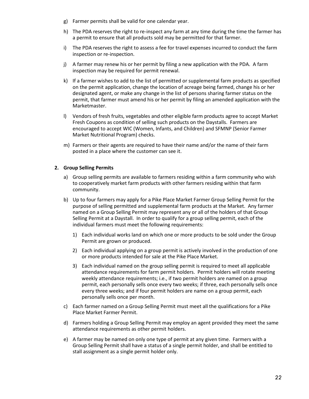- g) Farmer permits shall be valid for one calendar year.
- h) The PDA reserves the right to re-inspect any farm at any time during the time the farmer has a permit to ensure that all products sold may be permitted for that farmer.
- i) The PDA reserves the right to assess a fee for travel expenses incurred to conduct the farm inspection or re-inspection.
- j) A farmer may renew his or her permit by filing a new application with the PDA. A farm inspection may be required for permit renewal.
- k) If a farmer wishes to add to the list of permitted or supplemental farm products as specified on the permit application, change the location of acreage being farmed, change his or her designated agent, or make any change in the list of persons sharing farmer status on the permit, that farmer must amend his or her permit by filing an amended application with the Marketmaster.
- l) Vendors of fresh fruits, vegetables and other eligible farm products agree to accept Market Fresh Coupons as condition of selling such products on the Daystalls. Farmers are encouraged to accept WIC (Women, Infants, and Children) and SFMNP (Senior Farmer Market Nutritional Program) checks.
- m) Farmers or their agents are required to have their name and/or the name of their farm posted in a place where the customer can see it.

## **2. Group Selling Permits**

- a) Group selling permits are available to farmers residing within a farm community who wish to cooperatively market farm products with other farmers residing within that farm community.
- b) Up to four farmers may apply for a Pike Place Market Farmer Group Selling Permit for the purpose of selling permitted and supplemental farm products at the Market. Any farmer named on a Group Selling Permit may represent any or all of the holders of that Group Selling Permit at a Daystall. In order to qualify for a group selling permit, each of the individual farmers must meet the following requirements:
	- 1) Each individual works land on which one or more products to be sold under the Group Permit are grown or produced.
	- 2) Each individual applying on a group permit is actively involved in the production of one or more products intended for sale at the Pike Place Market.
	- 3) Each individual named on the group selling permit is required to meet all applicable attendance requirements for farm permit holders. Permit holders will rotate meeting weekly attendance requirements; i.e., if two permit holders are named on a group permit, each personally sells once every two weeks; if three, each personally sells once every three weeks; and if four permit holders are name on a group permit, each personally sells once per month.
- c) Each farmer named on a Group Selling Permit must meet all the qualifications for a Pike Place Market Farmer Permit.
- d) Farmers holding a Group Selling Permit may employ an agent provided they meet the same attendance requirements as other permit holders.
- e) A farmer may be named on only one type of permit at any given time. Farmers with a Group Selling Permit shall have a status of a single permit holder, and shall be entitled to stall assignment as a single permit holder only.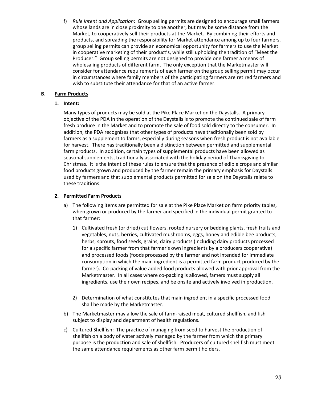f) *Rule Intent and Application*: Group selling permits are designed to encourage small farmers whose lands are in close proximity to one another, but may be some distance from the Market, to cooperatively sell their products at the Market. By combining their efforts and products, and spreading the responsibility for Market attendance among up to four farmers, group selling permits can provide an economical opportunity for farmers to use the Market in cooperative marketing of their product's, while still upholding the tradition of "Meet the Producer." Group selling permits are not designed to provide one farmer a means of wholesaling products of different farm. The only exception that the Marketmaster will consider for attendance requirements of each farmer on the group selling permit may occur in circumstances where family members of the participating farmers are retired farmers and wish to substitute their attendance for that of an active farmer.

## **B. Farm Products**

## **1. Intent:**

Many types of products may be sold at the Pike Place Market on the Daystalls. A primary objective of the PDA in the operation of the Daystalls is to promote the continued sale of farm fresh produce in the Market and to promote the sale of food sold directly to the consumer. In addition, the PDA recognizes that other types of products have traditionally been sold by farmers as a supplement to farms, especially during seasons when fresh product is not available for harvest. There has traditionally been a distinction between permitted and supplemental farm products. In addition, certain types of supplemental products have been allowed as seasonal supplements, traditionally associated with the holiday period of Thanksgiving to Christmas. It is the intent of these rules to ensure that the presence of edible crops and similar food products grown and produced by the farmer remain the primary emphasis for Daystalls used by farmers and that supplemental products permitted for sale on the Daystalls relate to these traditions.

## **2. Permitted Farm Products**

- a) The following items are permitted for sale at the Pike Place Market on farm priority tables, when grown or produced by the farmer and specified in the individual permit granted to that farmer:
	- 1) Cultivated fresh (or dried) cut flowers, rooted nursery or bedding plants, fresh fruits and vegetables, nuts, berries, cultivated mushrooms, eggs, honey and edible bee products, herbs, sprouts, food seeds, grains, dairy products (including dairy products processed for a specific farmer from that farmer's own ingredients by a producers cooperative) and processed foods (foods processed by the farmer and not intended for immediate consumption in which the main ingredient is a permitted farm product produced by the farmer). Co-packing of value added food products allowed with prior approval from the Marketmaster. In all cases where co-packing is allowed, famers must supply all ingredients, use their own recipes, and be onsite and actively involved in production.
	- 2) Determination of what constitutes that main ingredient in a specific processed food shall be made by the Marketmaster.
- b) The Marketmaster may allow the sale of farm-raised meat, cultured shellfish, and fish subject to display and department of health regulations.
- c) Cultured Shellfish: The practice of managing from seed to harvest the production of shellfish on a body of water actively managed by the farmer from which the primary purpose is the production and sale of shellfish. Producers of cultured shellfish must meet the same attendance requirements as other farm permit holders.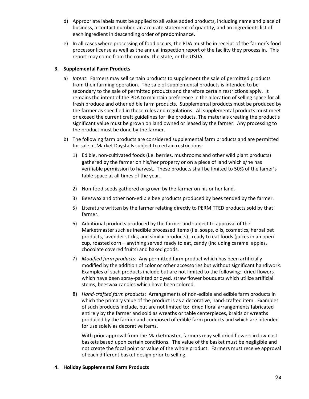- d) Appropriate labels must be applied to all value added products, including name and place of business, a contact number, an accurate statement of quantity, and an ingredients list of each ingredient in descending order of predominance.
- e) In all cases where processing of food occurs, the PDA must be in receipt of the farmer's food processor license as well as the annual inspection report of the facility they process in. This report may come from the county, the state, or the USDA.

## **3. Supplemental Farm Products**

- a) *Intent*: Farmers may sell certain products to supplement the sale of permitted products from their farming operation. The sale of supplemental products is intended to be secondary to the sale of permitted products and therefore certain restrictions apply. It remains the intent of the PDA to maintain preference in the allocation of selling space for all fresh produce and other edible farm products. Supplemental products must be produced by the farmer as specified in these rules and regulations. All supplemental products must meet or exceed the current craft guidelines for like products. The materials creating the product's significant value must be grown on land owned or leased by the farmer. Any processing to the product must be done by the farmer.
- b) The following farm products are considered supplemental farm products and are permitted for sale at Market Daystalls subject to certain restrictions:
	- 1) Edible, non-cultivated foods (i.e. berries, mushrooms and other wild plant products) gathered by the farmer on his/her property or on a piece of land which s/he has verifiable permission to harvest. These products shall be limited to 50% of the famer's table space at all times of the year.
	- 2) Non-food seeds gathered or grown by the farmer on his or her land.
	- 3) Beeswax and other non-edible bee products produced by bees tended by the farmer.
	- 5) Literature written by the farmer relating directly to PERMITTED products sold by that farmer.
	- 6) Additional products produced by the farmer and subject to approval of the Marketmaster such as inedible processed items (i.e. soaps, oils, cosmetics, herbal pet products, lavender sticks, and similar products) , ready to eat foods (juices in an open cup, roasted corn – anything served ready to eat, candy (including caramel apples, chocolate covered fruits) and baked goods.
	- 7) *Modified farm products:* Any permitted farm product which has been artificially modified by the addition of color or other accessories but without significant handiwork. Examples of such products include but are not limited to the following: dried flowers which have been spray-painted or dyed, straw flower bouquets which utilize artificial stems, beeswax candles which have been colored.
	- 8) *Hand-crafted farm products*: Arrangements of non-edible and edible farm products in which the primary value of the product is as a decorative, hand-crafted item. Examples of such products include, but are not limited to: dried floral arrangements fabricated entirely by the farmer and sold as wreaths or table centerpieces, braids or wreaths produced by the farmer and composed of edible farm products and which are intended for use solely as decorative items.

With prior approval from the Marketmaster, farmers may sell dried flowers in low-cost baskets based upon certain conditions. The value of the basket must be negligible and not create the focal point or value of the whole product. Farmers must receive approval of each different basket design prior to selling.

## **4. Holiday Supplemental Farm Products**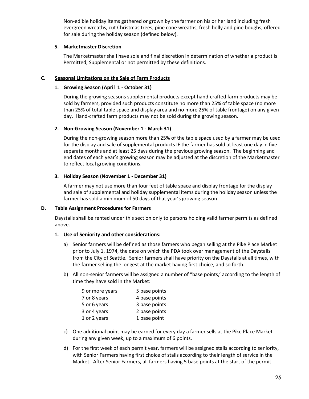Non-edible holiday items gathered or grown by the farmer on his or her land including fresh evergreen wreaths, cut Christmas trees, pine cone wreaths, fresh holly and pine boughs, offered for sale during the holiday season (defined below).

## **5. Marketmaster Discretion**

The Marketmaster shall have sole and final discretion in determination of whether a product is Permitted, Supplemental or not permitted by these definitions.

#### **C. Seasonal Limitations on the Sale of Farm Products**

#### **1. Growing Season (April 1 - October 31)**

During the growing seasons supplemental products except hand-crafted farm products may be sold by farmers, provided such products constitute no more than 25% of table space (no more than 25% of total table space and display area and no more 25% of table frontage) on any given day. Hand-crafted farm products may not be sold during the growing season.

#### **2. Non-Growing Season (November 1 - March 31)**

During the non-growing season more than 25% of the table space used by a farmer may be used for the display and sale of supplemental products IF the farmer has sold at least one day in five separate months and at least 25 days during the previous growing season. The beginning and end dates of each year's growing season may be adjusted at the discretion of the Marketmaster to reflect local growing conditions.

#### **3. Holiday Season (November 1 - December 31)**

A farmer may not use more than four feet of table space and display frontage for the display and sale of supplemental and holiday supplemental items during the holiday season unless the farmer has sold a minimum of 50 days of that year's growing season.

#### **D. Table Assignment Procedures for Farmers**

Daystalls shall be rented under this section only to persons holding valid farmer permits as defined above.

#### **1. Use of Seniority and other considerations:**

- a) Senior farmers will be defined as those farmers who began selling at the Pike Place Market prior to July 1, 1974, the date on which the PDA took over management of the Daystalls from the City of Seattle. Senior farmers shall have priority on the Daystalls at all times, with the farmer selling the longest at the market having first choice, and so forth.
- b) All non-senior farmers will be assigned a number of "base points,' according to the length of time they have sold in the Market:

| 5 base points |
|---------------|
| 4 base points |
| 3 base points |
| 2 base points |
| 1 base point  |
|               |

- c) One additional point may be earned for every day a farmer sells at the Pike Place Market during any given week, up to a maximum of 6 points.
- d) For the first week of each permit year, farmers will be assigned stalls according to seniority, with Senior Farmers having first choice of stalls according to their length of service in the Market. After Senior Farmers, all farmers having 5 base points at the start of the permit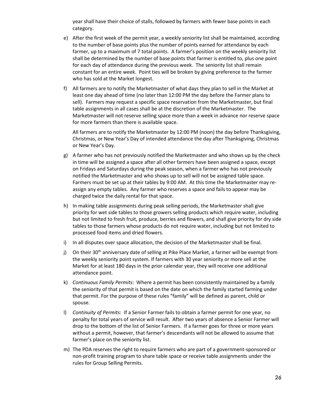year shall have their choice of stalls, followed by farmers with fewer base points in each category.

- e) After the first week of the permit year, a weekly seniority list shall be maintained, according to the number of base points plus the number of points earned for attendance by each farmer, up to a maximum of 7 total points. A farmer's position on the weekly seniority list shall be determined by the number of base points that farmer is entitled to, plus one point for each day of attendance during the previous week. The seniority list shall remain constant for an entire week. Point ties will be broken by giving preference to the farmer who has sold at the Market longest.
- f) All farmers are to notify the Marketmaster of what days they plan to sell in the Market at least one day ahead of time (no later than 12:00 PM the day before the Farmer plans to sell). Farmers may request a specific space reservation from the Marketmaster, but final table assignments in all cases shall be at the discretion of the Marketmaster. The Marketmaster will not reserve selling space more than a week in advance nor reserve space for more farmers than there is available space.

All farmers are to notify the Marketmaster by 12:00 PM (noon) the day before Thanksgiving, Christmas, or New Year's Day of intended attendance the day after Thanksgiving, Christmas or New Year's Day.

- g) A farmer who has not previously notified the Marketmaster and who shows up by the check in time will be assigned a space after all other farmers have been assigned a space, except on Fridays and Saturdays during the peak season, when a farmer who has not previously notified the Marketmaster and who shows up to sell will not be assigned table space. Farmers must be set up at their tables by 9:00 AM. At this time the Marketmaster may reassign any empty tables. Any farmer who reserves a space and fails to appear may be charged twice the daily rental for that space.
- h) In making table assignments during peak selling periods, the Marketmaster shall give priority for wet side tables to those growers selling products which require water, including but not limited to fresh fruit, produce, berries and flowers, and shall give priority for dry side tables to those farmers whose products do not require water, including but not limited to processed food items and dried flowers.
- i) In all disputes over space allocation, the decision of the Marketmaster shall be final.
- j) On their 30<sup>th</sup> anniversary date of selling at Pike Place Market, a farmer will be exempt from the weekly seniority point system. If farmers with 30 year seniority or more sell at the Market for at least 180 days in the prior calendar year, they will receive one additional attendance point.
- k) *Continuous Family Permits*: Where a permit has been consistently maintained by a family the seniority of that permit is based on the date on which the family started farming under that permit. For the purpose of these rules "family" will be defined as parent, child or spouse.
- l) *Continuity of Permits*: If a Senior Farmer fails to obtain a farmer permit for one year, no penalty for total years of service will result. After two years of absence a Senior Farmer will drop to the bottom of the list of Senior Farmers. If a farmer goes for three or more years without a permit, however, that farmer's descendants will not be allowed to assume that farmer's place on the seniority list.
- m) The PDA reserves the right to require farmers who are part of a government-sponsored or non-profit training program to share table space or receive table assignments under the rules for Group Selling Permits.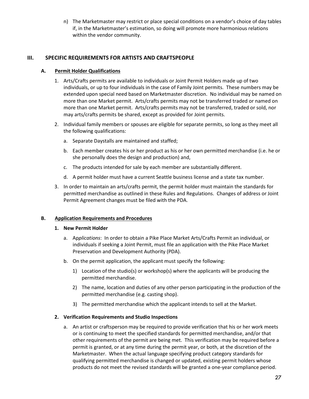n) The Marketmaster may restrict or place special conditions on a vendor's choice of day tables if, in the Marketmaster's estimation, so doing will promote more harmonious relations within the vendor community.

## **III. SPECIFIC REQUIREMENTS FOR ARTISTS AND CRAFTSPEOPLE**

## **A. Permit Holder Qualifications**

- 1. Arts/Crafts permits are available to individuals or Joint Permit Holders made up of two individuals, or up to four individuals in the case of Family Joint permits. These numbers may be extended upon special need based on Marketmaster discretion. No individual may be named on more than one Market permit. Arts/crafts permits may not be transferred traded or named on more than one Market permit. Arts/crafts permits may not be transferred, traded or sold, nor may arts/crafts permits be shared, except as provided for Joint permits.
- 2. Individual family members or spouses are eligible for separate permits, so long as they meet all the following qualifications:
	- a. Separate Daystalls are maintained and staffed;
	- b. Each member creates his or her product as his or her own permitted merchandise (i.e. he or she personally does the design and production) and,
	- c. The products intended for sale by each member are substantially different.
	- d. A permit holder must have a current Seattle business license and a state tax number.
- 3. In order to maintain an arts/crafts permit, the permit holder must maintain the standards for permitted merchandise as outlined in these Rules and Regulations. Changes of address or Joint Permit Agreement changes must be filed with the PDA.

## **B. Application Requirements and Procedures**

## **1. New Permit Holder**

- a. Ap*plications*: In order to obtain a Pike Place Market Arts/Crafts Permit an individual, or individuals if seeking a Joint Permit, must file an application with the Pike Place Market Preservation and Development Authority (PDA).
- b. On the permit application, the applicant must specify the following:
	- 1) Location of the studio(s) or workshop(s) where the applicants will be producing the permitted merchandise.
	- 2) The name, location and duties of any other person participating in the production of the permitted merchandise (e.g. casting shop).
	- 3) The permitted merchandise which the applicant intends to sell at the Market.

## **2. Verification Requirements and Studio Inspections**

a. An artist or craftsperson may be required to provide verification that his or her work meets or is continuing to meet the specified standards for permitted merchandise, and/or that other requirements of the permit are being met. This verification may be required before a permit is granted, or at any time during the permit year, or both, at the discretion of the Marketmaster. When the actual language specifying product category standards for qualifying permitted merchandise is changed or updated, existing permit holders whose products do not meet the revised standards will be granted a one-year compliance period.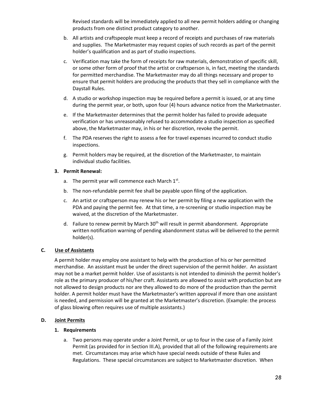Revised standards will be immediately applied to all new permit holders adding or changing products from one distinct product category to another.

- b. All artists and craftspeople must keep a record of receipts and purchases of raw materials and supplies. The Marketmaster may request copies of such records as part of the permit holder's qualification and as part of studio inspections.
- c. Verification may take the form of receipts for raw materials, demonstration of specific skill, or some other form of proof that the artist or craftsperson is, in fact, meeting the standards for permitted merchandise. The Marketmaster may do all things necessary and proper to ensure that permit holders are producing the products that they sell in compliance with the Daystall Rules.
- d. A studio or workshop inspection may be required before a permit is issued, or at any time during the permit year, or both, upon four (4) hours advance notice from the Marketmaster.
- e. If the Marketmaster determines that the permit holder has failed to provide adequate verification or has unreasonably refused to accommodate a studio inspection as specified above, the Marketmaster may, in his or her discretion, revoke the permit.
- f. The PDA reserves the right to assess a fee for travel expenses incurred to conduct studio inspections.
- g. Permit holders may be required, at the discretion of the Marketmaster, to maintain individual studio facilities.

## **3. Permit Renewal:**

- a. The permit year will commence each March  $1<sup>st</sup>$ .
- b. The non-refundable permit fee shall be payable upon filing of the application.
- c. An artist or craftsperson may renew his or her permit by filing a new application with the PDA and paying the permit fee. At that time, a re-screening or studio inspection may be waived, at the discretion of the Marketmaster.
- d. Failure to renew permit by March  $30<sup>th</sup>$  will result in permit abandonment. Appropriate written notification warning of pending abandonment status will be delivered to the permit holder(s).

## **C. Use of Assistants**

A permit holder may employ one assistant to help with the production of his or her permitted merchandise. An assistant must be under the direct supervision of the permit holder. An assistant may not be a market permit holder. Use of assistants is not intended to diminish the permit holder's role as the primary producer of his/her craft. Assistants are allowed to assist with production but are not allowed to design products nor are they allowed to do more of the production than the permit holder. A permit holder must have the Marketmaster's written approval if more than one assistant is needed, and permission will be granted at the Marketmaster's discretion. (Example: the process of glass blowing often requires use of multiple assistants.)

## **D. Joint Permits**

## **1. Requirements**

a. Two persons may operate under a Joint Permit, or up to four in the case of a Family Joint Permit (as provided for in Section III.A), provided that all of the following requirements are met. Circumstances may arise which have special needs outside of these Rules and Regulations. These special circumstances are subject to Marketmaster discretion. When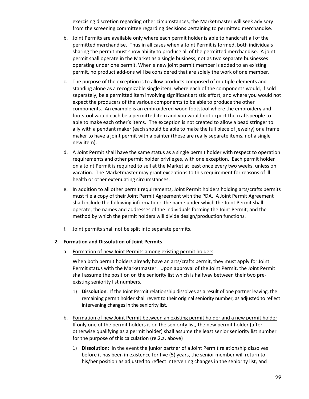exercising discretion regarding other circumstances, the Marketmaster will seek advisory from the screening committee regarding decisions pertaining to permitted merchandise.

- b. Joint Permits are available only where each permit holder is able to handcraft all of the permitted merchandise. Thus in all cases when a Joint Permit is formed, both individuals sharing the permit must show ability to produce all of the permitted merchandise. A joint permit shall operate in the Market as a single business, not as two separate businesses operating under one permit. When a new joint permit member is added to an existing permit, no product add-ons will be considered that are solely the work of one member.
- c. The purpose of the exception is to allow products composed of multiple elements and standing alone as a recognizable single item, where each of the components would, if sold separately, be a permitted item involving significant artistic effort, and where you would not expect the producers of the various components to be able to produce the other components. An example is an embroidered wood footstool where the embroidery and footstool would each be a permitted item and you would not expect the craftspeople to able to make each other's items. The exception is not created to allow a bead stringer to ally with a pendant maker (each should be able to make the full piece of jewelry) or a frame maker to have a joint permit with a painter (these are really separate items, not a single new item).
- d. A Joint Permit shall have the same status as a single permit holder with respect to operation requirements and other permit holder privileges, with one exception. Each permit holder on a Joint Permit is required to sell at the Market at least once every two weeks, unless on vacation. The Marketmaster may grant exceptions to this requirement for reasons of ill health or other extenuating circumstances.
- e. In addition to all other permit requirements, Joint Permit holders holding arts/crafts permits must file a copy of their Joint Permit Agreement with the PDA. A Joint Permit Agreement shall include the following information: the name under which the Joint Permit shall operate; the names and addresses of the individuals forming the Joint Permit; and the method by which the permit holders will divide design/production functions.
- f. Joint permits shall not be split into separate permits.

## **2. Formation and Dissolution of Joint Permits**

a. Formation of new Joint Permits among existing permit holders

When both permit holders already have an arts/crafts permit, they must apply for Joint Permit status with the Marketmaster. Upon approval of the Joint Permit, the Joint Permit shall assume the position on the seniority list which is halfway between their two preexisting seniority list numbers.

- 1) **Dissolution**: If the Joint Permit relationship dissolves as a result of one partner leaving, the remaining permit holder shall revert to their original seniority number, as adjusted to reflect intervening changes in the seniority list.
- b. Formation of new Joint Permit between an existing permit holder and a new permit holder If only one of the permit holders is on the seniority list, the new permit holder (after otherwise qualifying as a permit holder) shall assume the least senior seniority list number for the purpose of this calculation (re.2.a. above)
	- 1) **Dissolution**: In the event the junior partner of a Joint Permit relationship dissolves before it has been in existence for five (5) years, the senior member will return to his/her position as adjusted to reflect intervening changes in the seniority list, and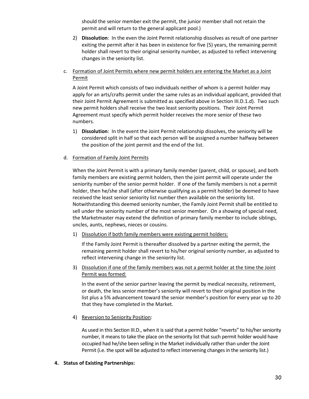should the senior member exit the permit, the junior member shall not retain the permit and will return to the general applicant pool.)

- 2) **Dissolution**: In the even the Joint Permit relationship dissolves as result of one partner exiting the permit after it has been in existence for five (5) years, the remaining permit holder shall revert to their original seniority number, as adjusted to reflect intervening changes in the seniority list.
- c. Formation of Joint Permits where new permit holders are entering the Market as a Joint Permit

A Joint Permit which consists of two individuals neither of whom is a permit holder may apply for an arts/crafts permit under the same rules as an individual applicant, provided that their Joint Permit Agreement is submitted as specified above in Section III.D.1.d). Two such new permit holders shall receive the two least seniority positions. Their Joint Permit Agreement must specify which permit holder receives the more senior of these two numbers.

- 1) **Dissolution**: In the event the Joint Permit relationship dissolves, the seniority will be considered split in half so that each person will be assigned a number halfway between the position of the joint permit and the end of the list.
- d. Formation of Family Joint Permits

When the Joint Permit is with a primary family member (parent, child, or spouse), and both family members are existing permit holders, then the joint permit will operate under the seniority number of the senior permit holder. If one of the family members is not a permit holder, then he/she shall (after otherwise qualifying as a permit holder) be deemed to have received the least senior seniority list number then available on the seniority list. Notwithstanding this deemed seniority number, the Family Joint Permit shall be entitled to sell under the seniority number of the most senior member. On a showing of special need, the Marketmaster may extend the definition of primary family member to include siblings, uncles, aunts, nephews, nieces or cousins.

1) Dissolution if both family members were existing permit holders:

If the Family Joint Permit is thereafter dissolved by a partner exiting the permit, the remaining permit holder shall revert to his/her original seniority number, as adjusted to reflect intervening change in the seniority list.

3) Dissolution if one of the family members was not a permit holder at the time the Joint Permit was formed:

In the event of the senior partner leaving the permit by medical necessity, retirement, or death, the less senior member's seniority will revert to their original position in the list plus a 5% advancement toward the senior member's position for every year up to 20 that they have completed in the Market.

4) Reversion to Seniority Position:

As used in this Section III.D., when it is said that a permit holder "reverts" to his/her seniority number, it means to take the place on the seniority list that such permit holder would have occupied had he/she been selling in the Market individually rather than under the Joint Permit (i.e. the spot will be adjusted to reflect intervening changes in the seniority list.)

**4. Status of Existing Partnerships:**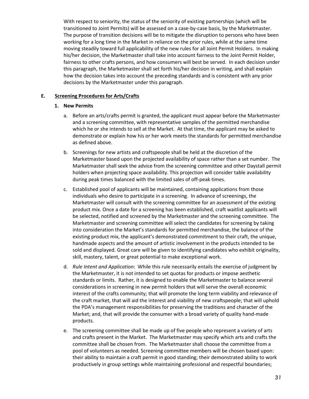With respect to seniority, the status of the seniority of existing partnerships (which will be transitioned to Joint Permits) will be assessed on a case-by-case basis, by the Marketmaster. The purpose of transition decisions will be to mitigate the disruption to persons who have been working for a long time in the Market in reliance on the prior rules, while at the same time moving steadily toward full applicability of the new rules for all Joint Permit Holders. In making his/her decision, the Marketmaster shall take into account fairness to the Joint Permit Holder, fairness to other crafts persons, and how consumers will best be served. In each decision under this paragraph, the Marketmaster shall set forth his/her decision in writing, and shall explain how the decision takes into account the preceding standards and is consistent with any prior decisions by the Marketmaster under this paragraph.

## **E. Screening Procedures for Arts/Crafts**

## **1. New Permits**

- a. Before an arts/crafts permit is granted, the applicant must appear before the Marketmaster and a screening committee, with representative samples of the permitted merchandise which he or she intends to sell at the Market. At that time, the applicant may be asked to demonstrate or explain how his or her work meets the standards for permitted merchandise as defined above.
- b. Screenings for new artists and craftspeople shall be held at the discretion of the Marketmaster based upon the projected availability of space rather than a set number. The Marketmaster shall seek the advice from the screening committee and other Daystall permit holders when projecting space availability. This projection will consider table availability during peak times balanced with the limited sales of off-peak times.
- c. Established pool of applicants will be maintained, containing applications from those individuals who desire to participate in a screening. In advance of screenings, the Marketmaster will consult with the screening committee for an assessment of the existing product mix. Once a date for a screening has been established, craft waitlist applicants will be selected, notified and screened by the Marketmaster and the screening committee. The Marketmaster and screening committee will select the candidates for screening by taking into consideration the Market's standards for permitted merchandise, the balance of the existing product mix, the applicant's demonstrated commitment to their craft, the unique, handmade aspects and the amount of artistic involvement in the products intended to be sold and displayed. Great care will be given to identifying candidates who exhibit originality, skill, mastery, talent, or great potential to make exceptional work.
- d. *Rule Intent and Application*: While this rule necessarily entails the exercise of judgment by the Marketmaster, it is not intended to set quotas for products or impose aesthetic standards or limits. Rather, it is designed to enable the Marketmaster to balance several considerations in screening in new permit holders that will serve the overall economic interest of the crafts community; that will promote the long term viability and relevance of the craft market, that will aid the interest and viability of new craftspeople; that will uphold the PDA's management responsibilities for preserving the traditions and character of the Market; and, that will provide the consumer with a broad variety of quality hand-made products.
- e. The screening committee shall be made up of five people who represent a variety of arts and crafts present in the Market. The Marketmaster may specify which arts and crafts the committee shall be chosen from. The Marketmaster shall choose the committee from a pool of volunteers as needed. Screening committee members will be chosen based upon: their ability to maintain a craft permit in good standing; their demonstrated ability to work productively in group settings while maintaining professional and respectful boundaries;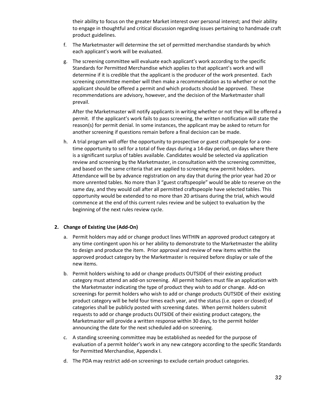their ability to focus on the greater Market interest over personal interest; and their ability to engage in thoughtful and critical discussion regarding issues pertaining to handmade craft product guidelines.

- f. The Marketmaster will determine the set of permitted merchandise standards by which each applicant's work will be evaluated.
- g. The screening committee will evaluate each applicant's work according to the specific Standards for Permitted Merchandise which applies to that applicant's work and will determine if it is credible that the applicant is the producer of the work presented. Each screening committee member will then make a recommendation as to whether or not the applicant should be offered a permit and which products should be approved. These recommendations are advisory, however, and the decision of the Marketmaster shall prevail.

After the Marketmaster will notify applicants in writing whether or not they will be offered a permit. If the applicant's work fails to pass screening, the written notification will state the reason(s) for permit denial. In some instances, the applicant may be asked to return for another screening if questions remain before a final decision can be made.

h. A trial program will offer the opportunity to prospective or guest craftspeople for a onetime opportunity to sell for a total of five days during a 14-day period, on days where there is a significant surplus of tables available. Candidates would be selected via application review and screening by the Marketmaster, in consultation with the screening committee, and based on the same criteria that are applied to screening new permit holders. Attendance will be by advance registration on any day that during the prior year had 20 or more unrented tables. No more than 3 "guest craftspeople" would be able to reserve on the same day, and they would call after all permitted craftspeople have selected tables. This opportunity would be extended to no more than 20 artisans during the trial, which would commence at the end of this current rules review and be subject to evaluation by the beginning of the next rules review cycle.

## **2. Change of Existing Use (Add-On)**

- a. Permit holders may add or change product lines WITHIN an approved product category at any time contingent upon his or her ability to demonstrate to the Marketmaster the ability to design and produce the item. Prior approval and review of new items within the approved product category by the Marketmaster is required before display or sale of the new items.
- b. Permit holders wishing to add or change products OUTSIDE of their existing product category must attend an add-on screening. All permit holders must file an application with the Marketmaster indicating the type of product they wish to add or change. Add-on screenings for permit holders who wish to add or change products OUTSIDE of their existing product category will be held four times each year, and the status (i.e. open or closed) of categories shall be publicly posted with screening dates. When permit holders submit requests to add or change products OUTSIDE of their existing product category, the Marketmaster will provide a written response within 30 days, to the permit holder announcing the date for the next scheduled add-on screening.
- c. A standing screening committee may be established as needed for the purpose of evaluation of a permit holder's work in any new category according to the specific Standards for Permitted Merchandise, Appendix I.
- d. The PDA may restrict add-on screenings to exclude certain product categories.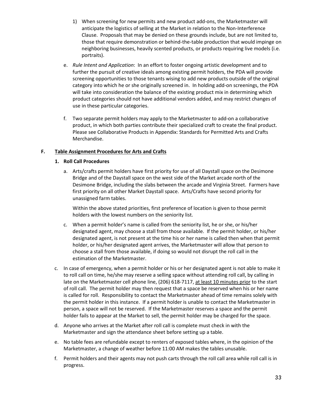- 1) When screening for new permits and new product add-ons, the Marketmaster will anticipate the logistics of selling at the Market in relation to the Non-Interference Clause. Proposals that may be denied on these grounds include, but are not limited to, those that require demonstration or behind-the-table production that would impinge on neighboring businesses, heavily scented products, or products requiring live models (i.e. portraits).
- e. *Rule Intent and Application*: In an effort to foster ongoing artistic development and to further the pursuit of creative ideals among existing permit holders, the PDA will provide screening opportunities to those tenants wising to add new products outside of the original category into which he or she originally screened in. In holding add-on screenings, the PDA will take into consideration the balance of the existing product mix in determining which product categories should not have additional vendors added, and may restrict changes of use in these particular categories.
- f. Two separate permit holders may apply to the Marketmaster to add-on a collaborative product, in which both parties contribute their specialized craft to create the final product. Please see Collaborative Products in Appendix: Standards for Permitted Arts and Crafts Merchandise.

## **F. Table Assignment Procedures for Arts and Crafts**

## **1. Roll Call Procedures**

a. Arts/crafts permit holders have first priority for use of all Daystall space on the Desimone Bridge and of the Daystall space on the west side of the Market arcade north of the Desimone Bridge, including the slabs between the arcade and Virginia Street. Farmers have first priority on all other Market Daystall space. Arts/Crafts have second priority for unassigned farm tables.

Within the above stated priorities, first preference of location is given to those permit holders with the lowest numbers on the seniority list.

- c. When a permit holder's name is called from the seniority list, he or she, or his/her designated agent, may choose a stall from those available. If the permit holder, or his/her designated agent, is not present at the time his or her name is called then when that permit holder, or his/her designated agent arrives, the Marketmaster will allow that person to choose a stall from those available, if doing so would not disrupt the roll call in the estimation of the Marketmaster.
- c. In case of emergency, when a permit holder or his or her designated agent is not able to make it to roll call on time, he/she may reserve a selling space without attending roll call, by calling in late on the Marketmaster cell phone line, (206) 618-7117, at least 10 minutes prior to the start of roll call. The permit holder may then request that a space be reserved when his or her name is called for roll. Responsibility to contact the Marketmaster ahead of time remains solely with the permit holder in this instance. If a permit holder is unable to contact the Marketmaster in person, a space will not be reserved. If the Marketmaster reserves a space and the permit holder fails to appear at the Market to sell, the permit holder may be charged for the space.
- d. Anyone who arrives at the Market after roll call is complete must check in with the Marketmaster and sign the attendance sheet before setting up a table.
- e. No table fees are refundable except to renters of exposed tables where, in the opinion of the Marketmaster, a change of weather before 11:00 AM makes the tables unusable.
- f. Permit holders and their agents may not push carts through the roll call area while roll call is in progress.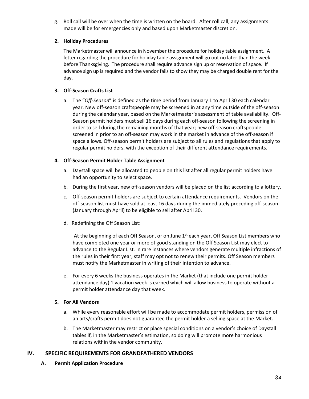g. Roll call will be over when the time is written on the board. After roll call, any assignments made will be for emergencies only and based upon Marketmaster discretion.

## **2. Holiday Procedures**

The Marketmaster will announce in November the procedure for holiday table assignment. A letter regarding the procedure for holiday table assignment will go out no later than the week before Thanksgiving. The procedure shall require advance sign up or reservation of space. If advance sign up is required and the vendor fails to show they may be charged double rent for the day.

## **3. Off-Season Crafts List**

a. The "*Off-Season*" is defined as the time period from January 1 to April 30 each calendar year. New off-season craftspeople may be screened in at any time outside of the off-season during the calendar year, based on the Marketmaster's assessment of table availability. Off-Season permit holders must sell 16 days during each off-season following the screening in order to sell during the remaining months of that year; new off-season craftspeople screened in prior to an off-season may work in the market in advance of the off-season if space allows. Off-season permit holders are subject to all rules and regulations that apply to regular permit holders, with the exception of their different attendance requirements.

## **4. Off-Season Permit Holder Table Assignment**

- a. Daystall space will be allocated to people on this list after all regular permit holders have had an opportunity to select space.
- b. During the first year, new off-season vendors will be placed on the list according to a lottery.
- c. Off-season permit holders are subject to certain attendance requirements. Vendors on the off-season list must have sold at least 16 days during the immediately preceding off-season (January through April) to be eligible to sell after April 30.
- d. Redefining the Off Season List:

At the beginning of each Off Season, or on June  $1<sup>st</sup>$  each year, Off Season List members who have completed one year or more of good standing on the Off Season List may elect to advance to the Regular List. In rare instances where vendors generate multiple infractions of the rules in their first year, staff may opt not to renew their permits. Off Season members must notify the Marketmaster in writing of their intention to advance.

e. For every 6 weeks the business operates in the Market (that include one permit holder attendance day) 1 vacation week is earned which will allow business to operate without a permit holder attendance day that week.

## **5. For All Vendors**

- a. While every reasonable effort will be made to accommodate permit holders, permission of an arts/crafts permit does not guarantee the permit holder a selling space at the Market.
- b. The Marketmaster may restrict or place special conditions on a vendor's choice of Daystall tables if, in the Marketmaster's estimation, so doing will promote more harmonious relations within the vendor community.

## **IV. SPECIFIC REQUIREMENTS FOR GRANDFATHERED VENDORS**

**A. Permit Application Procedure**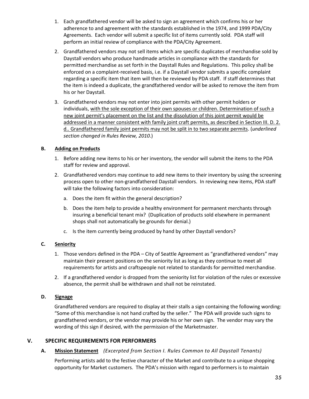- 1. Each grandfathered vendor will be asked to sign an agreement which confirms his or her adherence to and agreement with the standards established in the 1974, and 1999 PDA/City Agreements. Each vendor will submit a specific list of items currently sold. PDA staff will perform an initial review of compliance with the PDA/City Agreement.
- 2. Grandfathered vendors may not sell items which are specific duplicates of merchandise sold by Daystall vendors who produce handmade articles in compliance with the standards for permitted merchandise as set forth in the Daystall Rules and Regulations. This policy shall be enforced on a complaint-received basis, i.e. if a Daystall vendor submits a specific complaint regarding a specific item that item will then be reviewed by PDA staff. If staff determines that the item is indeed a duplicate, the grandfathered vendor will be asked to remove the item from his or her Daystall.
- 3. Grandfathered vendors may not enter into joint permits with other permit holders or individuals, with the sole exception of their own spouses or children. Determination of such a new joint permit's placement on the list and the dissolution of this joint permit would be addressed in a manner consistent with family joint craft permits, as described in Section III. D. 2. d.. Grandfathered family joint permits may not be split in to two separate permits. (*underlined section changed in Rules Review, 2010*.)

## **B. Adding on Products**

- 1. Before adding new items to his or her inventory, the vendor will submit the items to the PDA staff for review and approval.
- 2. Grandfathered vendors may continue to add new items to their inventory by using the screening process open to other non-grandfathered Daystall vendors. In reviewing new items, PDA staff will take the following factors into consideration:
	- a. Does the item fit within the general description?
	- b. Does the item help to provide a healthy environment for permanent merchants through insuring a beneficial tenant mix? (Duplication of products sold elsewhere in permanent shops shall not automatically be grounds for denial.)
	- c. Is the item currently being produced by hand by other Daystall vendors?

## **C. Seniority**

- 1. Those vendors defined in the PDA City of Seattle Agreement as "grandfathered vendors" may maintain their present positions on the seniority list as long as they continue to meet all requirements for artists and craftspeople not related to standards for permitted merchandise.
- 2. If a grandfathered vendor is dropped from the seniority list for violation of the rules or excessive absence, the permit shall be withdrawn and shall not be reinstated.

## **D. Signage**

Grandfathered vendors are required to display at their stalls a sign containing the following wording: "Some of this merchandise is not hand crafted by the seller." The PDA will provide such signs to grandfathered vendors, or the vendor may provide his or her own sign. The vendor may vary the wording of this sign if desired, with the permission of the Marketmaster.

## **V. SPECIFIC REQUIREMENTS FOR PERFORMERS**

## **A. Mission Statement** *(Excerpted from Section I. Rules Common to All Daystall Tenants)*

Performing artists add to the festive character of the Market and contribute to a unique shopping opportunity for Market customers. The PDA's mission with regard to performers is to maintain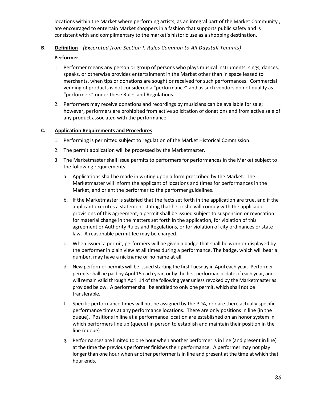locations within the Market where performing artists, as an integral part of the Market Community , are encouraged to entertain Market shoppers in a fashion that supports public safety and is consistent with and complimentary to the market's historic use as a shopping destination.

## **B. Definition** *(Excerpted from Section I. Rules Common to All Daystall Tenants)*

## **Performer**

- 1. Performer means any person or group of persons who plays musical instruments, sings, dances, speaks, or otherwise provides entertainment in the Market other than in space leased to merchants, when tips or donations are sought or received for such performances. Commercial vending of products is not considered a "performance" and as such vendors do not qualify as "performers" under these Rules and Regulations.
- 2. Performers may receive donations and recordings by musicians can be available for sale; however, performers are prohibited from active solicitation of donations and from active sale of any product associated with the performance.

## **C. Application Requirements and Procedures**

- 1. Performing is permitted subject to regulation of the Market Historical Commission.
- 2. The permit application will be processed by the Marketmaster.
- 3. The Marketmaster shall issue permits to performers for performances in the Market subject to the following requirements:
	- a. Applications shall be made in writing upon a form prescribed by the Market. The Marketmaster will inform the applicant of locations and times for performances in the Market, and orient the performer to the performer guidelines.
	- b. If the Marketmaster is satisfied that the facts set forth in the application are true, and if the applicant executes a statement stating that he or she will comply with the applicable provisions of this agreement, a permit shall be issued subject to suspension or revocation for material change in the matters set forth in the application, for violation of this agreement or Authority Rules and Regulations, or for violation of city ordinances or state law. A reasonable permit fee may be charged.
	- c. When issued a permit, performers will be given a badge that shall be worn or displayed by the performer in plain view at all times during a performance. The badge, which will bear a number, may have a nickname or no name at all.
	- d. New performer permits will be issued starting the first Tuesday in April each year. Performer permits shall be paid by April 15 each year, or by the first performance date of each year, and will remain valid through April 14 of the following year unless revoked by the Marketmaster as provided below. A performer shall be entitled to only one permit, which shall not be transferable.
	- f. Specific performance times will not be assigned by the PDA, nor are there actually specific performance times at any performance locations. There are only positions in line (in the queue). Positions in line at a performance location are established on an honor system in which performers line up (queue) in person to establish and maintain their position in the line (queue)
	- g. Performances are limited to one hour when another performer is in line (and present in line) at the time the previous performer finishes their performance. A performer may not play longer than one hour when another performer is in line and present at the time at which that hour ends.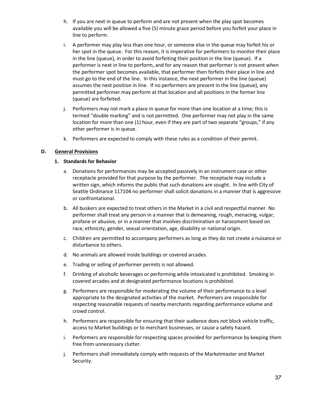- h. If you are next in queue to perform and are not present when the play spot becomes available you will be allowed a five (5) minute grace period before you forfeit your place in line to perform.
- i. A performer may play less than one hour, or someone else in the queue may forfeit his or her spot in the queue. For this reason, it is imperative for performers to monitor their place in the line (queue), in order to avoid forfeiting their position in the line (queue). If a performer is next in line to perform, and for any reason that performer is not present when the performer spot becomes available, that performer then forfeits their place in line and must go to the end of the line. In this instance, the next performer in the line (queue) assumes the next position in line. If no performers are present in the line (queue), any permitted performer may perform at that location and all positions in the former line (queue) are forfeited.
- j. Performers may not mark a place in queue for more than one location at a time; this is termed "double marking" and is not permitted. One performer may not play in the same location for more than one (1) hour, even if they are part of two separate "groups," if any other performer is in queue.
- k. Performers are expected to comply with these rules as a condition of their permit.

## **D. General Provisions**

## **1. Standards for Behavior**

- a. Donations for performances may be accepted passively in an instrument case or other receptacle provided for that purpose by the performer. The receptacle may include a written sign, which informs the public that such donations are sought. In line with City of Seattle Ordinance 117104 no performer shall solicit donations in a manner that is aggressive or confrontational.
- b. All buskers are expected to treat others in the Market in a civil and respectful manner. No performer shall treat any person in a manner that is demeaning, rough, menacing, vulgar, profane or abusive, or in a manner that involves discrimination or harassment based on race, ethnicity, gender, sexual orientation, age, disability or national origin.
- c. Children are permitted to accompany performers as long as they do not create a nuisance or disturbance to others.
- d. No animals are allowed inside buildings or covered arcades.
- e. Trading or selling of performer permits is not allowed.
- f. Drinking of alcoholic beverages or performing while intoxicated is prohibited. Smoking in covered arcades and at designated performance locations is prohibited.
- g. Performers are responsible for moderating the volume of their performance to a level appropriate to the designated activities of the market. Performers are responsible for respecting reasonable requests of nearby merchants regarding performance volume and crowd control.
- h. Performers are responsible for ensuring that their audience does not block vehicle traffic, access to Market buildings or to merchant businesses, or cause a safety hazard.
- i. Performers are responsible for respecting spaces provided for performance by keeping them free from unnecessary clutter.
- j. Performers shall immediately comply with requests of the Marketmaster and Market Security.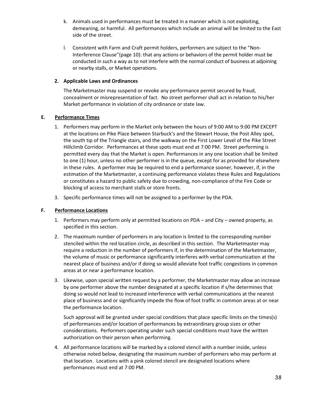- k. Animals used in performances must be treated in a manner which is not exploiting, demeaning, or harmful. All performances which include an animal will be limited to the East side of the street.
- l. Consistent with Farm and Craft permit holders, performers are subject to the "Non-Interference Clause"(page 10): that any actions or behaviors of the permit holder must be conducted in such a way as to not interfere with the normal conduct of business at adjoining or nearby stalls, or Market operations.

## **2. Applicable Laws and Ordinances**

The Marketmaster may suspend or revoke any performance permit secured by fraud, concealment or misrepresentation of fact. No street performer shall act in relation to his/her Market performance in violation of city ordinance or state law.

## **E. Performance Times**

- 1. Performers may perform in the Market only between the hours of 9:00 AM to 9:00 PM EXCEPT at the locations on Pike Place between Starbuck's and the Stewart House, the Post Alley spot, the south tip of the Triangle stairs, and the walkway on the First Lower Level of the Pike Street Hillclimb Corridor. Performances at these spots must end at 7:00 PM. Street performing is permitted every day that the Market is open. Performances in any one location shall be limited to one (1) hour, unless no other performer is in the queue, except for as provided for elsewhere in these rules. A performer may be required to end a performance sooner, however, if, in the estimation of the Marketmaster, a continuing performance violates these Rules and Regulations or constitutes a hazard to public safety due to crowding, non-compliance of the Fire Code or blocking of access to merchant stalls or store fronts.
- 3. Specific performance times will not be assigned to a performer by the PDA.

## **F. Performance Locations**

- 1. Performers may perform only at permitted locations on PDA and City owned property, as specified in this section.
- 2. The maximum number of performers in any location is limited to the corresponding number stenciled within the red location circle, as described in this section. The Marketmaster may require a reduction in the number of performers if, in the determination of the Marketmaster, the volume of music or performance significantly interferes with verbal communication at the nearest place of business and/or if doing so would alleviate foot traffic congestions in common areas at or near a performance location.
- 3. Likewise, upon special written request by a performer, the Marketmaster may allow an increase by one performer above the number designated at a specific location if s/he determines that doing so would not lead to increased interference with verbal communications at the nearest place of business and or significantly impede the flow of foot traffic in common areas at or near the performance location.

Such approval will be granted under special conditions that place specific limits on the times(s) of performances and/or location of performances by extraordinary group sizes or other considerations. Performers operating under such special conditions must have the written authorization on their person when performing.

4. All performance locations will be marked by a colored stencil with a number inside, unless otherwise noted below, designating the maximum number of performers who may perform at that location. Locations with a pink colored stencil are designated locations where performances must end at 7:00 PM.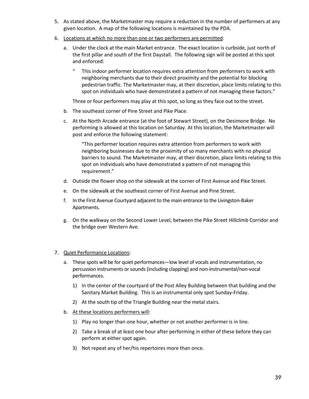- 5. As stated above, the Marketmaster may require a reduction in the number of performers at any given location. A map of the following locations is maintained by the PDA.
- 6. Locations at which no more than one or two performers are permitted:
	- a. Under the clock at the main Market entrance. The exact location is curbside, just north of the first pillar and south of the first Daystall. The following sign will be posted at this spot and enforced:
		- This indoor performer location requires extra attention from performers to work with neighboring merchants due to their direct proximity and the potential for blocking pedestrian traffic. The Marketmaster may, at their discretion, place limits relating to this spot on individuals who have demonstrated a pattern of not managing these factors."

Three or four performers may play at this spot, so long as they face out to the street.

- b. The southeast corner of Pine Street and Pike Place.
- c. At the North Arcade entrance (at the foot of Stewart Street), on the Desimone Bridge. No performing is allowed at this location on Saturday. At this location, the Marketmaster will post and enforce the following statement:

"This performer location requires extra attention from performers to work with neighboring businesses due to the proximity of so many merchants with no physical barriers to sound. The Marketmaster may, at their discretion, place limits relating to this spot on individuals who have demonstrated a pattern of not managing this requirement."

- d. Outside the flower shop on the sidewalk at the corner of First Avenue and Pike Street.
- e. On the sidewalk at the southeast corner of First Avenue and Pine Street.
- f. In the First Avenue Courtyard adjacent to the main entrance to the Livingston-Baker Apartments.
- g. On the walkway on the Second Lower Level, between the Pike Street Hillclimb Corridor and the bridge over Western Ave.

## 7. Quiet Performance Locations:

- a. These spots will be for quiet performances—low level of vocals and instrumentation, no percussion instruments or sounds (including clapping) and non-instrumental/non-vocal performances.
	- 1) In the center of the courtyard of the Post Alley Building between that building and the Sanitary Market Building. This is an instrumental only spot Sunday-Friday.
	- 2) At the south tip of the Triangle Building near the metal stairs.
- b. At these locations performers will:
	- 1) Play no longer than one hour, whether or not another performer is in line.
	- 2) Take a break of at least one hour after performing in either of these before they can perform at either spot again.
	- 3) Not repeat any of her/his repertoires more than once.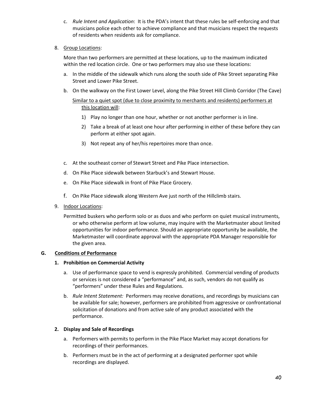c. *Rule Intent and Application*: It is the PDA's intent that these rules be self-enforcing and that musicians police each other to achieve compliance and that musicians respect the requests of residents when residents ask for compliance.

## 8. Group Locations:

More than two performers are permitted at these locations, up to the maximum indicated within the red location circle. One or two performers may also use these locations:

- a. In the middle of the sidewalk which runs along the south side of Pike Street separating Pike Street and Lower Pike Street.
- b. On the walkway on the First Lower Level, along the Pike Street Hill Climb Corridor (The Cave)

## Similar to a quiet spot (due to close proximity to merchants and residents) performers at this location will:

- 1) Play no longer than one hour, whether or not another performer is in line.
- 2) Take a break of at least one hour after performing in either of these before they can perform at either spot again.
- 3) Not repeat any of her/his repertoires more than once.
- c. At the southeast corner of Stewart Street and Pike Place intersection.
- d. On Pike Place sidewalk between Starbuck's and Stewart House.
- e. On Pike Place sidewalk in front of Pike Place Grocery.
- f. On Pike Place sidewalk along Western Ave just north of the Hillclimb stairs.
- 9. Indoor Locations:
	- Permitted buskers who perform solo or as duos and who perform on quiet musical instruments, or who otherwise perform at low volume, may inquire with the Marketmaster about limited opportunities for indoor performance. Should an appropriate opportunity be available, the Marketmaster will coordinate approval with the appropriate PDA Manager responsible for the given area.

## **G. Conditions of Performance**

## **1. Prohibition on Commercial Activity**

- a. Use of performance space to vend is expressly prohibited. Commercial vending of products or services is not considered a "performance" and, as such, vendors do not qualify as "performers" under these Rules and Regulations.
- b. *Rule Intent Statement:* Performers may receive donations, and recordings by musicians can be available for sale; however, performers are prohibited from aggressive or confrontational solicitation of donations and from active sale of any product associated with the performance.

## **2. Display and Sale of Recordings**

- a. Performers with permits to perform in the Pike Place Market may accept donations for recordings of their performances.
- b. Performers must be in the act of performing at a designated performer spot while recordings are displayed.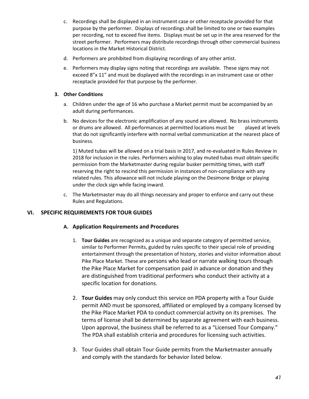- c. Recordings shall be displayed in an instrument case or other receptacle provided for that purpose by the performer. Displays of recordings shall be limited to one or two examples per recording, not to exceed five items. Displays must be set up in the area reserved for the street performer. Performers may distribute recordings through other commercial business locations in the Market Historical District.
- d. Performers are prohibited from displaying recordings of any other artist.
- e. Performers may display signs noting that recordings are available. These signs may not exceed 8"x 11" and must be displayed with the recordings in an instrument case or other receptacle provided for that purpose by the performer.

## **3. Other Conditions**

- a. Children under the age of 16 who purchase a Market permit must be accompanied by an adult during performances.
- b. No devices for the electronic amplification of any sound are allowed. No brass instruments or drums are allowed. All performances at permitted locations must be played at levels that do not significantly interfere with normal verbal communication at the nearest place of business.

1) Muted tubas will be allowed on a trial basis in 2017, and re-evaluated in Rules Review in 2018 for inclusion in the rules. Performers wishing to play muted tubas must obtain specific permission from the Marketmaster during regular busker permitting times, with staff reserving the right to rescind this permission in instances of non-compliance with any related rules. This allowance will not include playing on the Desimone Bridge or playing under the clock sign while facing inward.

c. The Marketmaster may do all things necessary and proper to enforce and carry out these Rules and Regulations.

## **VI. SPECIFIC REQUIREMENTS FOR TOUR GUIDES**

## **A. Application Requirements and Procedures**

- 1. **Tour Guides** are recognized as a unique and separate category of permitted service, similar to Performer Permits, guided by rules specific to their special role of providing entertainment through the presentation of history, stories and visitor information about Pike Place Market. These are persons who lead or narrate walking tours through the Pike Place Market for compensation paid in advance or donation and they are distinguished from traditional performers who conduct their activity at a specific location for donations.
- 2. **Tour Guides** may only conduct this service on PDA property with a Tour Guide permit AND must be sponsored, affiliated or employed by a company licensed by the Pike Place Market PDA to conduct commercial activity on its premises. The terms of license shall be determined by separate agreement with each business. Upon approval, the business shall be referred to as a "Licensed Tour Company." The PDA shall establish criteria and procedures for licensing such activities.
- 3. Tour Guides shall obtain Tour Guide permits from the Marketmaster annually and comply with the standards for behavior listed below.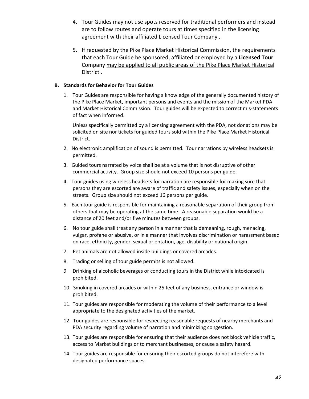- 4. Tour Guides may not use spots reserved for traditional performers and instead are to follow routes and operate tours at times specified in the licensing agreement with their affiliated Licensed Tour Company .
- 5**.** If requested by the Pike Place Market Historical Commission, the requirements that each Tour Guide be sponsored, affiliated or employed by a **Licensed Tour** Company may be applied to all public areas of the Pike Place Market Historical District .

## **B. Standards for Behavior for Tour Guides**

1. Tour Guides are responsible for having a knowledge of the generally documented history of the Pike Place Market, important persons and events and the mission of the Market PDA and Market Historical Commission. Tour guides will be expected to correct mis-statements of fact when informed.

Unless specifically permitted by a licensing agreement with the PDA, not donations may be solicited on site nor tickets for guided tours sold within the Pike Place Market Historical District.

- 2. No electronic amplification of sound is permitted. Tour narrations by wireless headsets is permitted.
- 3. Guided tours narrated by voice shall be at a volume that is not disruptive of other commercial activity. Group size should not exceed 10 persons per guide.
- 4. Tour guides using wireless headsets for narration are responsible for making sure that persons they are escorted are aware of traffic and safety issues, especially when on the streets. Group size should not exceed 16 persons per guide.
- 5. Each tour guide is responsible for maintaining a reasonable separation of their group from others that may be operating at the same time. A reasonable separation would be a distance of 20 feet and/or five minutes between groups.
- 6. No tour guide shall treat any person in a manner that is demeaning, rough, menacing, vulgar, profane or abusive, or in a manner that involves discrimination or harassment based on race, ethnicity, gender, sexual orientation, age, disability or national origin.
- 7. Pet animals are not allowed inside buildings or covered arcades.
- 8. Trading or selling of tour guide permits is not allowed.
- 9 Drinking of alcoholic beverages or conducting tours in the District while intoxicated is prohibited.
- 10. Smoking in covered arcades or within 25 feet of any business, entrance or window is prohibited.
- 11. Tour guides are responsible for moderating the volume of their performance to a level appropriate to the designated activities of the market.
- 12. Tour guides are responsible for respecting reasonable requests of nearby merchants and PDA security regarding volume of narration and minimizing congestion.
- 13. Tour guides are responsible for ensuring that their audience does not block vehicle traffic, access to Market buildings or to merchant businesses, or cause a safety hazard.
- 14. Tour guides are responsible for ensuring their escorted groups do not interefere with designated performance spaces.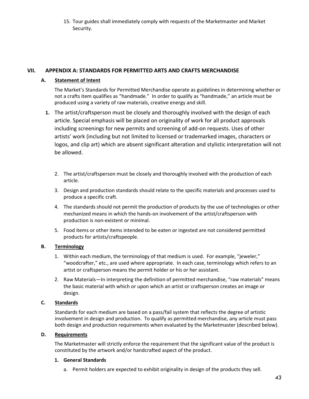15. Tour guides shall immediately comply with requests of the Marketmaster and Market Security.

## **VII. APPENDIX A: STANDARDS FOR PERMITTED ARTS AND CRAFTS MERCHANDISE**

## **A. Statement of Intent**

The Market's Standards for Permitted Merchandise operate as guidelines in determining whether or not a crafts item qualifies as "handmade." In order to qualify as "handmade," an article must be produced using a variety of raw materials, creative energy and skill.

- **1.** The artist/craftsperson must be closely and thoroughly involved with the design of each article. Special emphasis will be placed on originality of work for all product approvals including screenings for new permits and screening of add-on requests. Uses of other artists' work (including but not limited to licensed or trademarked images, characters or logos, and clip art) which are absent significant alteration and stylistic interpretation will not be allowed.
	- 2. The artist/craftsperson must be closely and thoroughly involved with the production of each article.
	- 3. Design and production standards should relate to the specific materials and processes used to produce a specific craft.
	- 4. The standards should not permit the production of products by the use of technologies or other mechanized means in which the hands-on involvement of the artist/craftsperson with production is non-existent or minimal.
	- 5. Food items or other items intended to be eaten or ingested are not considered permitted products for artists/craftspeople.

## **B. Terminology**

- 1. Within each medium, the terminology of that medium is used. For example, "jeweler," "woodcrafter," etc., are used where appropriate. In each case, terminology which refers to an artist or craftsperson means the permit holder or his or her assistant.
- 2. Raw Materials—In interpreting the definition of permitted merchandise, "raw materials" means the basic material with which or upon which an artist or craftsperson creates an image or design.

## **C. Standards**

Standards for each medium are based on a pass/fail system that reflects the degree of artistic involvement in design and production. To qualify as permitted merchandise, any article must pass both design and production requirements when evaluated by the Marketmaster (described below).

## **D. Requirements**

The Marketmaster will strictly enforce the requirement that the significant value of the product is constituted by the artwork and/or handcrafted aspect of the product.

## **1. General Standards**

a. Permit holders are expected to exhibit originality in design of the products they sell.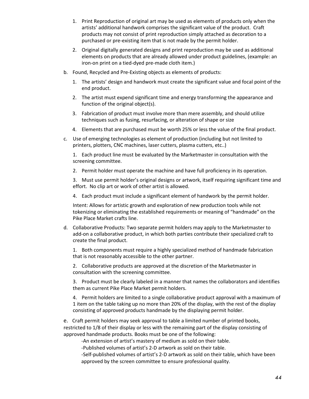- 1. Print Reproduction of original art may be used as elements of products only when the artists' additional handwork comprises the significant value of the product. Craft products may not consist of print reproduction simply attached as decoration to a purchased or pre-existing item that is not made by the permit holder.
- 2. Original digitally generated designs and print reproduction may be used as additional elements on products that are already allowed under product guidelines, (example: an iron-on print on a tied-dyed pre-made cloth item.)
- b. Found, Recycled and Pre-Existing objects as elements of products:
	- 1. The artists' design and handwork must create the significant value and focal point of the end product.
	- 2. The artist must expend significant time and energy transforming the appearance and function of the original object(s).
	- 3. Fabrication of product must involve more than mere assembly, and should utilize techniques such as fusing, resurfacing, or alteration of shape or size
	- 4. Elements that are purchased must be worth 25% or less the value of the final product.
- c. Use of emerging technologies as element of production (including but not limited to printers, plotters, CNC machines, laser cutters, plasma cutters, etc..)

1. Each product line must be evaluated by the Marketmaster in consultation with the screening committee.

2. Permit holder must operate the machine and have full proficiency in its operation.

3. Must use permit holder's original designs or artwork, itself requiring significant time and effort. No clip art or work of other artist is allowed.

4. Each product must include a significant element of handwork by the permit holder.

Intent: Allows for artistic growth and exploration of new production tools while not tokenizing or eliminating the established requirements or meaning of "handmade" on the Pike Place Market crafts line.

d. Collaborative Products: Two separate permit holders may apply to the Marketmaster to add-on a collaborative product, in which both parties contribute their specialized craft to create the final product.

1. Both components must require a highly specialized method of handmade fabrication that is not reasonably accessible to the other partner.

2. Collaborative products are approved at the discretion of the Marketmaster in consultation with the screening committee.

3. Product must be clearly labeled in a manner that names the collaborators and identifies them as current Pike Place Market permit holders.

4. Permit holders are limited to a single collaborative product approval with a maximum of 1 item on the table taking up no more than 20% of the display, with the rest of the display consisting of approved products handmade by the displaying permit holder.

e. Craft permit holders may seek approval to table a limited number of printed books, restricted to 1/8 of their display or less with the remaining part of the display consisting of approved handmade products. Books must be one of the following:

-An extension of artist's mastery of medium as sold on their table.

-Published volumes of artist's 2-D artwork as sold on their table.

-Self-published volumes of artist's 2-D artwork as sold on their table, which have been approved by the screen committee to ensure professional quality.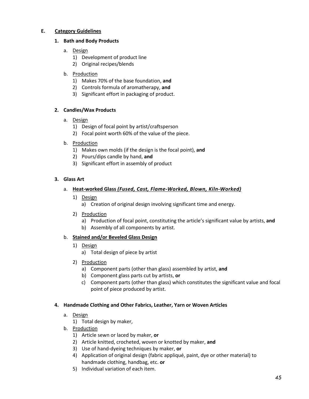## **E. Category Guidelines**

## **1. Bath and Body Products**

- a. Design
	- 1) Development of product line
	- 2) Original recipes/blends
- b. Production
	- 1) Makes 70% of the base foundation, **and**
	- 2) Controls formula of aromatherapy, **and**
	- 3) Significant effort in packaging of product.

## **2. Candles/Wax Products**

- a. Design
	- 1) Design of focal point by artist/craftsperson
	- 2) Focal point worth 60% of the value of the piece.
- b. Production
	- 1) Makes own molds (if the design is the focal point), **and**
	- 2) Pours/dips candle by hand, **and**
	- 3) Significant effort in assembly of product

## **3. Glass Art**

- a. **Heat-worked Glass** *(Fused, Cast, Flame-Worked, Blown, Kiln-Worked)*
	- 1) Design
		- a) Creation of original design involving significant time and energy.
	- 2) Production
		- a) Production of focal point, constituting the article's significant value by artists, **and**
		- b) Assembly of all components by artist.

## b. **Stained and/or Beveled Glass Design**

- 1) Design
	- a) Total design of piece by artist
- 2) Production
	- a) Component parts (other than glass) assembled by artist, **and**
	- b) Component glass parts cut by artists, **or**
	- c) Component parts (other than glass) which constitutes the significant value and focal point of piece produced by artist.

## **4. Handmade Clothing and Other Fabrics, Leather, Yarn or Woven Articles**

- a. Design
	- 1) Total design by maker,
- b. Production
	- 1) Article sewn or laced by maker, **or**
	- 2) Article knitted, crocheted, woven or knotted by maker, **and**
	- 3) Use of hand-dyeing techniques by maker, **or**
	- 4) Application of original design (fabric appliqué, paint, dye or other material) to handmade clothing, handbag, etc. **or**
	- 5) Individual variation of each item.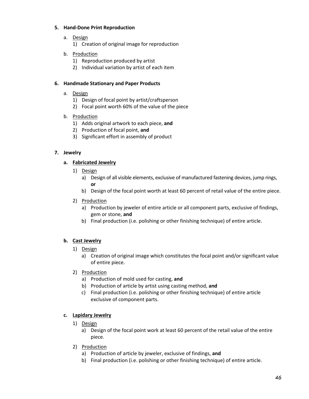## **5. Hand-Done Print Reproduction**

- a. Design
	- 1) Creation of original image for reproduction
- b. Production
	- 1) Reproduction produced by artist
	- 2) Individual variation by artist of each item

## **6. Handmade Stationary and Paper Products**

- a. Design
	- 1) Design of focal point by artist/craftsperson
	- 2) Focal point worth 60% of the value of the piece
- b. Production
	- 1) Adds original artwork to each piece, **and**
	- 2) Production of focal point, **and**
	- 3) Significant effort in assembly of product

## **7. Jewelry**

## **a. Fabricated Jewelry**

- 1) Design
	- a) Design of all visible elements, exclusive of manufactured fastening devices, jump rings, **or**
	- b) Design of the focal point worth at least 60 percent of retail value of the entire piece.
- 2) Production
	- a) Production by jeweler of entire article or all component parts, exclusive of findings, gem or stone, **and**
	- b) Final production (i.e. polishing or other finishing technique) of entire article.

## **b. Cast Jewelry**

- 1) Design
	- a) Creation of original image which constitutes the focal point and/or significant value of entire piece.
- 2) Production
	- a) Production of mold used for casting, **and**
	- b) Production of article by artist using casting method, **and**
	- c) Final production (i.e. polishing or other finishing technique) of entire article exclusive of component parts.

## **c. Lapidary Jewelry**

- 1) Design
	- a) Design of the focal point work at least 60 percent of the retail value of the entire piece.
- 2) Production
	- a) Production of article by jeweler, exclusive of findings, **and**
	- b) Final production (i.e. polishing or other finishing technique) of entire article.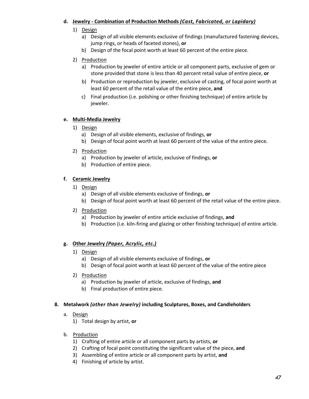## **d. Jewelry - Combination of Production Methods** *(Cast, Fabricated, or Lapidary)*

- 1) Design
	- a) Design of all visible elements exclusive of findings (manufactured fastening devices, jump rings, or heads of faceted stones), **or**
	- b) Design of the focal point worth at least 60 percent of the entire piece.

## 2) Production

- a) Production by jeweler of entire article or all component parts, exclusive of gem or stone provided that stone is less than 40 percent retail value of entire piece, **or**
- b) Production or reproduction by jeweler, exclusive of casting, of focal point worth at least 60 percent of the retail value of the entire piece, **and**
- c) Final production (i.e. polishing or other finishing technique) of entire article by jeweler.

## **e. Multi-Media Jewelry**

- 1) Design
	- a) Design of all visible elements, exclusive of findings, **or**
	- b) Design of focal point worth at least 60 percent of the value of the entire piece.
- 2) Production
	- a) Production by jeweler of article, exclusive of findings, **or**
	- b) Production of entire piece.

## **f. Ceramic Jewelry**

- 1) Design
	- a) Design of all visible elements exclusive of findings, **or**
	- b) Design of focal point worth at least 60 percent of the retail value of the entire piece.
- 2) Production
	- a) Production by jeweler of entire article exclusive of findings, **and**
	- b) Production (i.e. kiln-firing and glazing or other finishing technique) of entire article.

## **g. Other Jewelry** *(Paper, Acrylic, etc.)*

- 1) Design
	- a) Design of all visible elements exclusive of findings, **or**
	- b) Design of focal point worth at least 60 percent of the value of the entire piece
- 2) Production
	- a) Production by jeweler of article, exclusive of findings, **and**
	- b) Final production of entire piece.

## **8. Metalwork** *(other than Jewelry)* **including Sculptures, Boxes, and Candleholders**

- a. Design
	- 1) Total design by artist, **or**
- b. Production
	- 1) Crafting of entire article or all component parts by artists, **or**
	- 2) Crafting of focal point constituting the significant value of the piece, **and**
	- 3) Assembling of entire article or all component parts by artist, **and**
	- 4) Finishing of article by artist.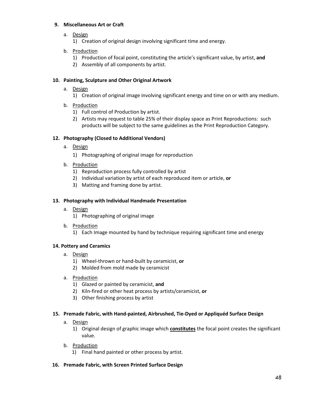## **9. Miscellaneous Art or Craft**

a. Design

1) Creation of original design involving significant time and energy.

- b. Production
	- 1) Production of focal point, constituting the article's significant value, by artist, **and**
	- 2) Assembly of all components by artist.

## **10. Painting, Sculpture and Other Original Artwork**

a. Design

1) Creation of original image involving significant energy and time on or with any medium.

- b. Production
	- 1) Full control of Production by artist.
	- 2) Artists may request to table 25% of their display space as Print Reproductions: such products will be subject to the same guidelines as the Print Reproduction Category.

## **12. Photography (Closed to Additional Vendors)**

- a. Design
	- 1) Photographing of original image for reproduction
- b. Production
	- 1) Reproduction process fully controlled by artist
	- 2) Individual variation by artist of each reproduced item or article, **or**
	- 3) Matting and framing done by artist.

## **13. Photography with Individual Handmade Presentation**

- a. Design
	- 1) Photographing of original image
- b. Production
	- 1) Each Image mounted by hand by technique requiring significant time and energy

## **14. Pottery and Ceramics**

- a. Design
	- 1) Wheel-thrown or hand-built by ceramicist, **or**
	- 2) Molded from mold made by ceramicist
- a. Production
	- 1) Glazed or painted by ceramicist, **and**
	- 2) Kiln-fired or other heat process by artists/ceramicist, **or**
	- 3) Other finishing process by artist

## **15. Premade Fabric, with Hand-painted, Airbrushed, Tie-Dyed or Appliquéd Surface Design**

a. Design

1) Original design of graphic image which **constitutes** the focal point creates the significant value.

- b. Production
	- 1) Final hand painted or other process by artist.
- **16. Premade Fabric, with Screen Printed Surface Design**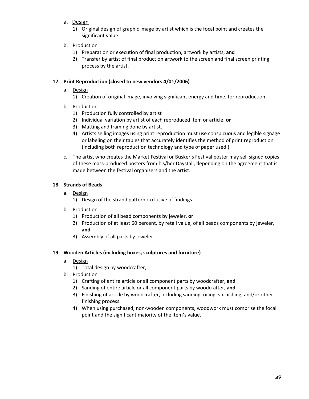a. Design

1) Original design of graphic image by artist which is the focal point and creates the significant value

- b. Production
	- 1) Preparation or execution of final production, artwork by artists, **and**
	- 2) Transfer by artist of final production artwork to the screen and final screen printing process by the artist.

## **17. Print Reproduction (closed to new vendors 4/01/2006)**

- a. Design
	- 1) Creation of original image, involving significant energy and time, for reproduction.
- b. Production
	- 1) Production fully controlled by artist
	- 2) Individual variation by artist of each reproduced item or article, **or**
	- 3) Matting and framing done by artist.
	- 4) Artists selling images using print reproduction must use conspicuous and legible signage or labeling on their tables that accurately identifies the method of print reproduction (including both reproduction technology and type of paper used.)
- c. The artist who creates the Market Festival or Busker's Festival poster may sell signed copies of these mass-produced posters from his/her Daystall, depending on the agreement that is made between the festival organizers and the artist.

## **18. Strands of Beads**

- a. Design
	- 1) Design of the strand pattern exclusive of findings
- b. Production
	- 1) Production of all bead components by jeweler, **or**
	- 2) Production of at least 60 percent, by retail value, of all beads components by jeweler, **and**
	- 3) Assembly of all parts by jeweler.

## **19. Wooden Articles (including boxes, sculptures and furniture)**

- a. Design
	- 1) Total design by woodcrafter,
- b. Production
	- 1) Crafting of entire article or all component parts by woodcrafter, **and**
	- 2) Sanding of entire article or all component parts by woodcrafter, **and**
	- 3) Finishing of article by woodcrafter, including sanding, oiling, varnishing, and/or other finishing process.
	- 4) When using purchased, non-wooden components, woodwork must comprise the focal point and the significant majority of the item's value.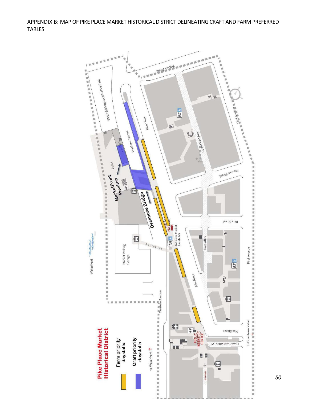APPENDIX B: MAP OF PIKE PLACE MARKET HISTORICAL DISTRICT DELINEATING CRAFT AND FARM PREFERRED TABLES

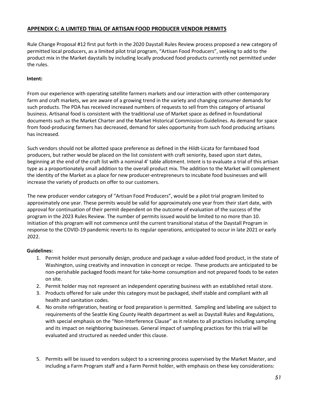## **APPENDIX C: A LIMITED TRIAL OF ARTISAN FOOD PRODUCER VENDOR PERMITS**

Rule Change Proposal #12 first put forth in the 2020 Daystall Rules Review process proposed a new category of permitted local producers, as a limited pilot trial program, "Artisan Food Producers", seeking to add to the product mix in the Market daystalls by including locally produced food products currently not permitted under the rules.

## **Intent:**

From our experience with operating satellite farmers markets and our interaction with other contemporary farm and craft markets, we are aware of a growing trend in the variety and changing consumer demands for such products. The PDA has received increased numbers of requests to sell from this category of artisanal business. Artisanal food is consistent with the traditional use of Market space as defined in foundational documents such as the Market Charter and the Market Historical Commission Guidelines. As demand for space from food-producing farmers has decreased, demand for sales opportunity from such food producing artisans has increased.

Such vendors should not be allotted space preference as defined in the Hildt-Licata for farmbased food producers, but rather would be placed on the list consistent with craft seniority, based upon start dates, beginning at the end of the craft list with a nominal 4' table allotment. Intent is to evaluate a trial of this artisan type as a proportionately small addition to the overall product mix. The addition to the Market will complement the identity of the Market as a place for new producer-entrepreneurs to incubate food businesses and will increase the variety of products on offer to our customers.

The new producer vendor category of "Artisan Food Producers", would be a pilot trial program limited to approximately one year. These permits would be valid for approximately one year from their start date, with approval for continuation of their permit dependent on the outcome of evaluation of the success of the program in the 2023 Rules Review. The number of permits issued would be limited to no more than 10. Initiation of this program will not commence until the current transitional status of the Daystall Program in response to the COVID-19 pandemic reverts to its regular operations, anticipated to occur in late 2021 or early 2022.

## **Guidelines:**

- 1. Permit holder must personally design, produce and package a value-added food product, in the state of Washington, using creativity and innovation in concept or recipe. These products are anticipated to be non-perishable packaged foods meant for take-home consumption and not prepared foods to be eaten on site.
- 2. Permit holder may not represent an independent operating business with an established retail store.
- 3. Products offered for sale under this category must be packaged, shelf stable and compliant with all health and sanitation codes.
- 4. No onsite refrigeration, heating or food preparation is permitted. Sampling and labeling are subject to requirements of the Seattle King County Health department as well as Daystall Rules and Regulations, with special emphasis on the "Non-Interference Clause" as it relates to all practices including sampling and its impact on neighboring businesses. General impact of sampling practices for this trial will be evaluated and structured as needed under this clause.
- 5. Permits will be issued to vendors subject to a screening process supervised by the Market Master, and including a Farm Program staff and a Farm Permit holder, with emphasis on these key considerations: